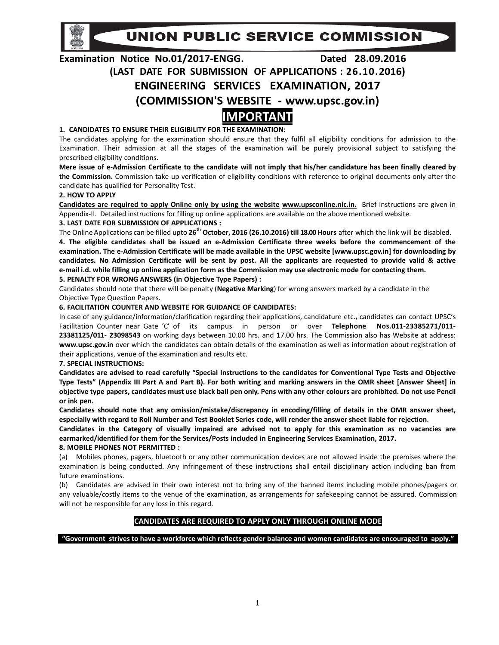**UNION PUBLIC SERVICE COMMISSION** 

# **Examination Notice No.01/2017‐ENGG. Dated 28.09.2016 (LAST DATE FOR SUBMISSION OF APPLICATIONS : 26.10.2016) ENGINEERING SERVICES EXAMINATION, 2017 (COMMISSION'S WEBSITE ‐ www.upsc.gov.in) IMPORTANT**

## **1. CANDIDATES TO ENSURE THEIR ELIGIBILITY FOR THE EXAMINATION:**

The candidates applying for the examination should ensure that they fulfil all eligibility conditions for admission to the Examination. Their admission at all the stages of the examination will be purely provisional subject to satisfying the prescribed eligibility conditions.

Mere issue of e-Admission Certificate to the candidate will not imply that his/her candidature has been finally cleared by **the Commission.** Commission take up verification of eligibility conditions with reference to original documents only after the candidate has qualified for Personality Test.

## **2. HOW TO APPLY**

**Candidates are required to apply Online only by using the website www.upsconline.nic.in.** Brief instructions are given in Appendix‐II. Detailed instructions for filling up online applications are available on the above mentioned website.

## **3. LAST DATE FOR SUBMISSION OF APPLICATIONS :**

The Online Applications can be filled upto **26th October, 2016 (26.10.2016) till 18.00 Hours** after which the link will be disabled. 4. The eligible candidates shall be issued an e-Admission Certificate three weeks before the commencement of the examination. The e-Admission Certificate will be made available in the UPSC website [www.upsc.gov.in] for downloading by candidates. No Admission Certificate will be sent by post. All the applicants are requested to provide valid & active e-mail i.d. while filling up online application form as the Commission may use electronic mode for contacting them. **5. PENALTY FOR WRONG ANSWERS (in Objective Type Papers) :**

Candidates should note that there will be penalty (**Negative Marking**) for wrong answers marked by a candidate in the Objective Type Question Papers.

## **6. FACILITATION COUNTER AND WEBSITE FOR GUIDANCE OF CANDIDATES:**

In case of any guidance/information/clarification regarding their applications, candidature etc., candidates can contact UPSC's Facilitation Counter near Gate 'C' of its campus in person or over **Telephone Nos.011‐23385271/011‐ 23381125/011‐ 23098543** on working days between 10.00 hrs. and 17.00 hrs. The Commission also has Website at address: **www.upsc.gov.in** over which the candidates can obtain details of the examination as well as information about registration of their applications, venue of the examination and results etc.

**7. SPECIAL INSTRUCTIONS:**

Candidates are advised to read carefully "Special Instructions to the candidates for Conventional Type Tests and Objective Type Tests" (Appendix III Part A and Part B). For both writing and marking answers in the OMR sheet [Answer Sheet] in objective type papers, candidates must use black ball pen only. Pens with any other colours are prohibited. Do not use Pencil **or ink pen.**

**Candidates should note that any omission/mistake/discrepancy in encoding/filling of details in the OMR answer sheet,** especially with regard to Roll Number and Test Booklet Series code, will render the answer sheet liable for rejection.

Candidates in the Category of visually impaired are advised not to apply for this examination as no vacancies are **earmarked/identified for them for the Services/Posts included in Engineering Services Examination, 2017.**

## **8. MOBILE PHONES NOT PERMITTED :**

(a) Mobiles phones, pagers, bluetooth or any other communication devices are not allowed inside the premises where the examination is being conducted. Any infringement of these instructions shall entail disciplinary action including ban from future examinations.

(b) Candidates are advised in their own interest not to bring any of the banned items including mobile phones/pagers or any valuable/costly items to the venue of the examination, as arrangements for safekeeping cannot be assured. Commission will not be responsible for any loss in this regard.

## **CANDIDATES ARE REQUIRED TO APPLY ONLY THROUGH ONLINE MODE**

"Government strives to have a workforce which reflects gender balance and women candidates are encouraged to apply."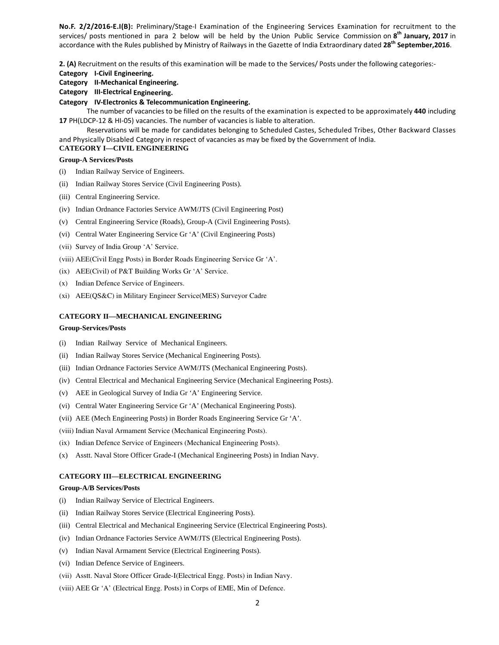**No.F. 2/2/2016‐E.I(B):** Preliminary/Stage‐I Examination of the Engineering Services Examination for recruitment to the services/ posts mentioned in para 2 below will be held by the Union Public Service Commission on **8th January, 2017** in accordance with the Rules published by Ministry of Railways in the Gazette of India Extraordinary dated **28th September,2016**.

**2. (A)** Recruitment on the results of this examination will be made to the Services/ Posts under the following categories:‐

- **Category I‐Civil Engineering.**
- **Category II‐Mechanical Engineering.**
- **Category III‐Electrical Engineering.**
- **Category IV‐Electronics & Telecommunication Engineering.**

The number of vacancies to be filled on the results of the examination is expected to be approximately **440** including **17** PH(LDCP‐12 & HI‐05) vacancies. The number of vacancies is liable to alteration.

Reservations will be made for candidates belonging to Scheduled Castes, Scheduled Tribes, Other Backward Classes and Physically Disabled Category in respect of vacancies as may be fixed by the Government of India.

## **CATEGORY I—CIVIL ENGINEERING**

## **Group-A Services/Posts**

- (i) Indian Railway Service of Engineers.
- (ii) Indian Railway Stores Service (Civil Engineering Posts).
- (iii) Central Engineering Service.
- (iv) Indian Ordnance Factories Service AWM/JTS (Civil Engineering Post)
- (v) Central Engineering Service (Roads), Group-A (Civil Engineering Posts).
- (vi) Central Water Engineering Service Gr 'A' (Civil Engineering Posts)
- (vii) Survey of India Group 'A' Service.
- (viii) AEE(Civil Engg Posts) in Border Roads Engineering Service Gr 'A'.
- (ix) AEE(Civil) of P&T Building Works Gr 'A' Service.
- (x) Indian Defence Service of Engineers.
- (xi) AEE(QS&C) in Military Engineer Service(MES) Surveyor Cadre

## **CATEGORY II—MECHANICAL ENGINEERING**

#### **Group-Services/Posts**

- (i) Indian Railway Service of Mechanical Engineers.
- (ii) Indian Railway Stores Service (Mechanical Engineering Posts).
- (iii) Indian Ordnance Factories Service AWM/JTS (Mechanical Engineering Posts).
- (iv) Central Electrical and Mechanical Engineering Service (Mechanical Engineering Posts).
- (v) AEE in Geological Survey of India Gr 'A' Engineering Service.
- (vi) Central Water Engineering Service Gr 'A' (Mechanical Engineering Posts).
- (vii) AEE (Mech Engineering Posts) in Border Roads Engineering Service Gr 'A'.
- (viii) Indian Naval Armament Service (Mechanical Engineering Posts).
- (ix) Indian Defence Service of Engineers (Mechanical Engineering Posts).
- (x) Asstt. Naval Store Officer Grade-I (Mechanical Engineering Posts) in Indian Navy.

#### **CATEGORY III—ELECTRICAL ENGINEERING**

## **Group-A/B Services/Posts**

- (i) Indian Railway Service of Electrical Engineers.
- (ii) Indian Railway Stores Service (Electrical Engineering Posts).
- (iii) Central Electrical and Mechanical Engineering Service (Electrical Engineering Posts).
- (iv) Indian Ordnance Factories Service AWM/JTS (Electrical Engineering Posts).
- (v) Indian Naval Armament Service (Electrical Engineering Posts).
- (vi) Indian Defence Service of Engineers.
- (vii) Asstt. Naval Store Officer Grade-I(Electrical Engg. Posts) in Indian Navy.
- (viii) AEE Gr 'A' (Electrical Engg. Posts) in Corps of EME, Min of Defence.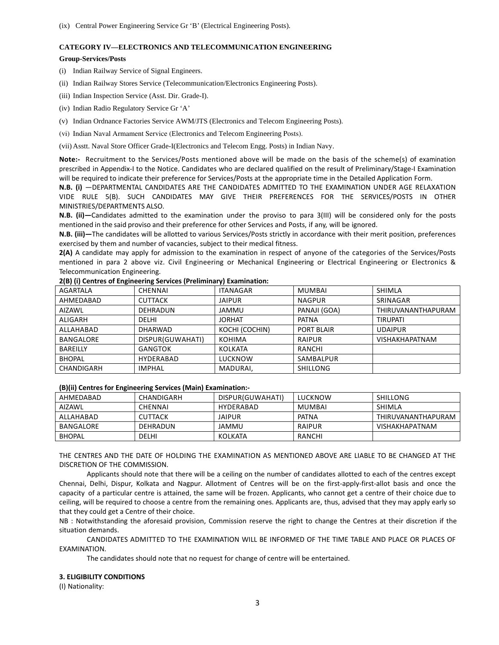## **CATEGORY IV—ELECTRONICS AND TELECOMMUNICATION ENGINEERING**

#### **Group-Services/Posts**

- (i) Indian Railway Service of Signal Engineers.
- (ii) Indian Railway Stores Service (Telecommunication/Electronics Engineering Posts).
- (iii) Indian Inspection Service (Asst. Dir. Grade-I).
- (iv) Indian Radio Regulatory Service Gr 'A'
- (v) Indian Ordnance Factories Service AWM/JTS (Electronics and Telecom Engineering Posts).
- (vi) Indian Naval Armament Service (Electronics and Telecom Engineering Posts).

(vii) Asstt. Naval Store Officer Grade-I(Electronics and Telecom Engg. Posts) in Indian Navy.

**Note:-** Recruitment to the Services/Posts mentioned above will be made on the basis of the scheme(s) of examination prescribed in Appendix‐I to the Notice. Candidates who are declared qualified on the result of Preliminary/Stage‐I Examination will be required to indicate their preference for Services/Posts at the appropriate time in the Detailed Application Form.

**N.B. (i)** —DEPARTMENTAL CANDIDATES ARE THE CANDIDATES ADMITTED TO THE EXAMINATION UNDER AGE RELAXATION VIDE RULE 5(B). SUCH CANDIDATES MAY GIVE THEIR PREFERENCES FOR THE SERVICES/POSTS IN OTHER MINISTRIES/DEPARTMENTS ALSO.

**N.B. (ii)—**Candidates admitted to the examination under the proviso to para 3(III) will be considered only for the posts mentioned in the said proviso and their preference for other Services and Posts, if any, will be ignored.

**N.B. (iii)—**The candidates will be allotted to various Services/Posts strictly in accordance with their merit position, preferences exercised by them and number of vacancies, subject to their medical fitness.

**2(A)** A candidate may apply for admission to the examination in respect of anyone of the categories of the Services/Posts mentioned in para 2 above viz. Civil Engineering or Mechanical Engineering or Electrical Engineering or Electronics & Telecommunication Engineering.

| AGARTALA        | <b>CHENNAI</b>   | <b>ITANAGAR</b> | MUMBAI            | <b>SHIMLA</b>         |
|-----------------|------------------|-----------------|-------------------|-----------------------|
| AHMEDABAD       | <b>CUTTACK</b>   | <b>JAIPUR</b>   | <b>NAGPUR</b>     | SRINAGAR              |
| <b>AIZAWL</b>   | <b>DEHRADUN</b>  | <b>JAMMU</b>    | PANAJI (GOA)      | THIRUVANANTHAPURAM    |
| ALIGARH         | DELHI            | <b>JORHAT</b>   | <b>PATNA</b>      | <b>TIRUPATI</b>       |
| ALLAHABAD       | <b>DHARWAD</b>   | KOCHI (COCHIN)  | <b>PORT BLAIR</b> | <b>UDAIPUR</b>        |
| BANGALORE       | DISPUR(GUWAHATI) | <b>KOHIMA</b>   | <b>RAIPUR</b>     | <b>VISHAKHAPATNAM</b> |
| <b>BAREILLY</b> | GANGTOK          | <b>KOLKATA</b>  | RANCHI            |                       |
| <b>BHOPAL</b>   | HYDERABAD        | <b>LUCKNOW</b>  | SAMBALPUR         |                       |
| CHANDIGARH      | <b>IMPHAL</b>    | MADURAI,        | SHILLONG          |                       |

## **2(B) (i) Centres of Engineering Services (Preliminary) Examination:**

#### **(B)(ii) Centres for Engineering Services (Main) Examination:‐**

| AHMEDABAD     | CHANDIGARH     | DISPUR(GUWAHATI) | LUCKNOW | SHILLONG              |
|---------------|----------------|------------------|---------|-----------------------|
| AIZAWL        | CHENNAI        | HYDERABAD        | MUMBAI  | SHIMLA                |
| ALLAHARAD     | <b>CUTTACK</b> | <b>JAIPUR</b>    | PATNA   | THIRUVANANTHAPURAM    |
| BANGALORE     | DEHRADUN       | JAMMU            | RAIPUR  | <b>VISHAKHAPATNAM</b> |
| <b>BHOPAL</b> | DELHI          | KOLKATA          | RANCHI  |                       |

THE CENTRES AND THE DATE OF HOLDING THE EXAMINATION AS MENTIONED ABOVE ARE LIABLE TO BE CHANGED AT THE DISCRETION OF THE COMMISSION.

Applicants should note that there will be a ceiling on the number of candidates allotted to each of the centres except Chennai, Delhi, Dispur, Kolkata and Nagpur. Allotment of Centres will be on the first-apply-first-allot basis and once the capacity of a particular centre is attained, the same will be frozen. Applicants, who cannot get a centre of their choice due to ceiling, will be required to choose a centre from the remaining ones. Applicants are, thus, advised that they may apply early so that they could get a Centre of their choice.

NB : Notwithstanding the aforesaid provision, Commission reserve the right to change the Centres at their discretion if the situation demands.

CANDIDATES ADMITTED TO THE EXAMINATION WILL BE INFORMED OF THE TIME TABLE AND PLACE OR PLACES OF EXAMINATION.

The candidates should note that no request for change of centre will be entertained.

## **3. ELIGIBILITY CONDITIONS**

(I) Nationality: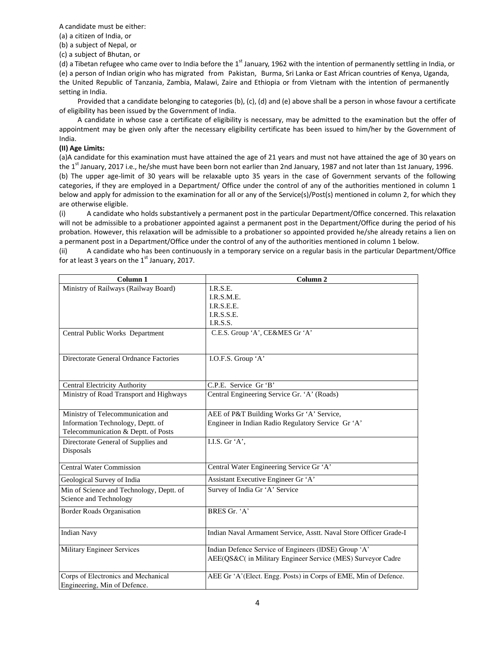A candidate must be either:

(a) a citizen of India, or

(b) a subject of Nepal, or

(c) a subject of Bhutan, or

(d) a Tibetan refugee who came over to India before the  $1<sup>st</sup>$  January, 1962 with the intention of permanently settling in India, or (e) a person of Indian origin who has migrated from Pakistan, Burma, Sri Lanka or East African countries of Kenya, Uganda, the United Republic of Tanzania, Zambia, Malawi, Zaire and Ethiopia or from Vietnam with the intention of permanently setting in India.

Provided that a candidate belonging to categories (b), (c), (d) and (e) above shall be a person in whose favour a certificate of eligibility has been issued by the Government of India.

A candidate in whose case a certificate of eligibility is necessary, may be admitted to the examination but the offer of appointment may be given only after the necessary eligibility certificate has been issued to him/her by the Government of India.

## **(II) Age Limits:**

(a)A candidate for this examination must have attained the age of 21 years and must not have attained the age of 30 years on the 1st January, 2017 i.e., he/she must have been born not earlier than 2nd January, 1987 and not later than 1st January, 1996. (b) The upper age‐limit of 30 years will be relaxable upto 35 years in the case of Government servants of the following categories, if they are employed in a Department/ Office under the control of any of the authorities mentioned in column 1 below and apply for admission to the examination for all or any of the Service(s)/Post(s) mentioned in column 2, for which they are otherwise eligible.

(i) A candidate who holds substantively a permanent post in the particular Department/Office concerned. This relaxation will not be admissible to a probationer appointed against a permanent post in the Department/Office during the period of his probation. However, this relaxation will be admissible to a probationer so appointed provided he/she already retains a lien on a permanent post in a Department/Office under the control of any of the authorities mentioned in column 1 below.

(ii) A candidate who has been continuously in a temporary service on a regular basis in the particular Department/Office for at least 3 years on the  $1<sup>st</sup>$  January, 2017.

| Column 1                                 | Column <sub>2</sub>                                                                                                 |
|------------------------------------------|---------------------------------------------------------------------------------------------------------------------|
| Ministry of Railways (Railway Board)     | I.R.S.E.                                                                                                            |
|                                          | I.R.S.M.E.                                                                                                          |
|                                          | I.R.S.E.E.                                                                                                          |
|                                          | I.R.S.S.E.                                                                                                          |
|                                          | I.R.S.S.                                                                                                            |
| Central Public Works Department          | C.E.S. Group 'A', CE&MES Gr 'A'                                                                                     |
| Directorate General Ordnance Factories   | I.O.F.S. Group 'A'                                                                                                  |
| <b>Central Electricity Authority</b>     | C.P.E. Service Gr 'B'                                                                                               |
| Ministry of Road Transport and Highways  | Central Engineering Service Gr. 'A' (Roads)                                                                         |
| Ministry of Telecommunication and        | AEE of P&T Building Works Gr 'A' Service,                                                                           |
| Information Technology, Deptt. of        | Engineer in Indian Radio Regulatory Service Gr 'A'                                                                  |
| Telecommunication & Deptt. of Posts      |                                                                                                                     |
| Directorate General of Supplies and      | I.I.S. Gr 'A',                                                                                                      |
| Disposals                                |                                                                                                                     |
| <b>Central Water Commission</b>          | Central Water Engineering Service Gr 'A'                                                                            |
| Geological Survey of India               | Assistant Executive Engineer Gr 'A'                                                                                 |
| Min of Science and Technology, Deptt. of | Survey of India Gr 'A' Service                                                                                      |
| Science and Technology                   |                                                                                                                     |
| Border Roads Organisation                | BRES Gr. 'A'                                                                                                        |
| <b>Indian Navy</b>                       | Indian Naval Armament Service, Asstt. Naval Store Officer Grade-I                                                   |
| <b>Military Engineer Services</b>        | Indian Defence Service of Engineers (IDSE) Group 'A'<br>AEE(QS&C( in Military Engineer Service (MES) Surveyor Cadre |
| Corps of Electronics and Mechanical      | AEE Gr 'A' (Elect. Engg. Posts) in Corps of EME, Min of Defence.                                                    |
| Engineering, Min of Defence.             |                                                                                                                     |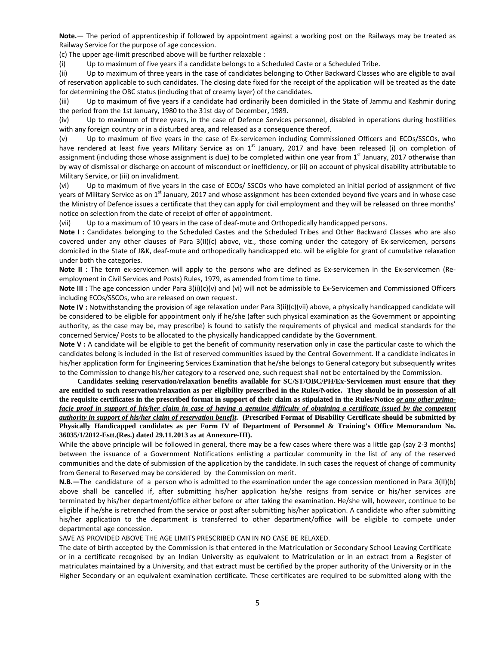**Note.**— The period of apprenticeship if followed by appointment against a working post on the Railways may be treated as Railway Service for the purpose of age concession.

(c) The upper age‐limit prescribed above will be further relaxable :

(i) Up to maximum of five years if a candidate belongs to a Scheduled Caste or a Scheduled Tribe.

(ii) Up to maximum of three years in the case of candidates belonging to Other Backward Classes who are eligible to avail of reservation applicable to such candidates. The closing date fixed for the receipt of the application will be treated as the date for determining the OBC status (including that of creamy layer) of the candidates.

(iii) Up to maximum of five years if a candidate had ordinarily been domiciled in the State of Jammu and Kashmir during the period from the 1st January, 1980 to the 31st day of December, 1989.

(iv) Up to maximum of three years, in the case of Defence Services personnel, disabled in operations during hostilities with any foreign country or in a disturbed area, and released as a consequence thereof.

(v) Up to maximum of five years in the case of Ex‐servicemen including Commissioned Officers and ECOs/SSCOs, who have rendered at least five years Military Service as on  $1^{st}$  January, 2017 and have been released (i) on completion of assignment (including those whose assignment is due) to be completed within one year from 1<sup>st</sup> January, 2017 otherwise than by way of dismissal or discharge on account of misconduct or inefficiency, or (ii) on account of physical disability attributable to Military Service, or (iii) on invalidment.

(vi) Up to maximum of five years in the case of ECOs/ SSCOs who have completed an initial period of assignment of five years of Military Service as on 1<sup>st</sup> January, 2017 and whose assignment has been extended beyond five years and in whose case the Ministry of Defence issues a certificate that they can apply for civil employment and they will be released on three months' notice on selection from the date of receipt of offer of appointment.

(vii) Up to a maximum of 10 years in the case of deaf‐mute and Orthopedically handicapped persons.

**Note I :** Candidates belonging to the Scheduled Castes and the Scheduled Tribes and Other Backward Classes who are also covered under any other clauses of Para 3(II)(c) above, viz., those coming under the category of Ex-servicemen, persons domiciled in the State of J&K, deaf-mute and orthopedically handicapped etc. will be eligible for grant of cumulative relaxation under both the categories.

**Note II** : The term ex-servicemen will apply to the persons who are defined as Ex-servicemen in the Ex-servicemen (Reemployment in Civil Services and Posts) Rules, 1979, as amended from time to time.

**Note III** : The age concession under Para 3(ii)(c)(v) and (vi) will not be admissible to Ex-Servicemen and Commissioned Officers including ECOs/SSCOs, who are released on own request.

**Note IV :** Notwithstanding the provision of age relaxation under Para 3(ii)(c)(vii) above, a physically handicapped candidate will be considered to be eligible for appointment only if he/she (after such physical examination as the Government or appointing authority, as the case may be, may prescribe) is found to satisfy the requirements of physical and medical standards for the concerned Service/ Posts to be allocated to the physically handicapped candidate by the Government.

**Note V :** A candidate will be eligible to get the benefit of community reservation only in case the particular caste to which the candidates belong is included in the list of reserved communities issued by the Central Government. If a candidate indicates in his/her application form for Engineering Services Examination that he/she belongs to General category but subsequently writes to the Commission to change his/her category to a reserved one, such request shall not be entertained by the Commission.

**Candidates seeking reservation/relaxation benefits available for SC/ST/OBC/PH/Ex-Servicemen must ensure that they are entitled to such reservation/relaxation as per eligibility prescribed in the Rules/Notice. They should be in possession of all**  the requisite certificates in the prescribed format in support of their claim as stipulated in the Rules/Notice *or any other primafacie proof in support of his/her claim in case of having a genuine difficulty of obtaining a certificate issued by the competent authority in support of his/her claim of reservation benefit***. (Prescribed Format of Disability Certificate should be submitted by Physically Handicapped candidates as per Form IV of Department of Personnel & Training's Office Memorandum No. 36035/1/2012-Estt.(Res.) dated 29.11.2013 as at Annexure-III).** 

While the above principle will be followed in general, there may be a few cases where there was a little gap (say 2-3 months) between the issuance of a Government Notifications enlisting a particular community in the list of any of the reserved communities and the date of submission of the application by the candidate. In such cases the request of change of community from General to Reserved may be considered by the Commission on merit.

**N.B.—**The candidature of a person who is admitted to the examination under the age concession mentioned in Para 3(II)(b) above shall be cancelled if, after submitting his/her application he/she resigns from service or his/her services are terminated by his/her department/office either before or after taking the examination. He/she will, however, continue to be eligible if he/she is retrenched from the service or post after submitting his/her application. A candidate who after submitting his/her application to the department is transferred to other department/office will be eligible to compete under departmental age concession.

SAVE AS PROVIDED ABOVE THE AGE LIMITS PRESCRIBED CAN IN NO CASE BE RELAXED.

The date of birth accepted by the Commission is that entered in the Matriculation or Secondary School Leaving Certificate or in a certificate recognised by an Indian University as equivalent to Matriculation or in an extract from a Register of matriculates maintained by a University, and that extract must be certified by the proper authority of the University or in the Higher Secondary or an equivalent examination certificate. These certificates are required to be submitted along with the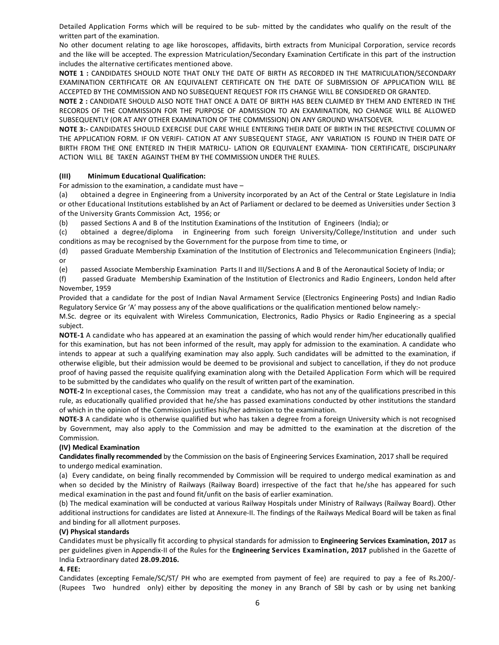Detailed Application Forms which will be required to be sub‐ mitted by the candidates who qualify on the result of the written part of the examination.

No other document relating to age like horoscopes, affidavits, birth extracts from Municipal Corporation, service records and the like will be accepted. The expression Matriculation/Secondary Examination Certificate in this part of the instruction includes the alternative certificates mentioned above.

**NOTE 1 :** CANDIDATES SHOULD NOTE THAT ONLY THE DATE OF BIRTH AS RECORDED IN THE MATRICULATION/SECONDARY EXAMINATION CERTIFICATE OR AN EQUIVALENT CERTIFICATE ON THE DATE OF SUBMISSION OF APPLICATION WILL BE ACCEPTED BY THE COMMISSION AND NO SUBSEQUENT REQUEST FOR ITS CHANGE WILL BE CONSIDERED OR GRANTED.

**NOTE 2 :** CANDIDATE SHOULD ALSO NOTE THAT ONCE A DATE OF BIRTH HAS BEEN CLAIMED BY THEM AND ENTERED IN THE RECORDS OF THE COMMISSION FOR THE PURPOSE OF ADMISSION TO AN EXAMINATION, NO CHANGE WILL BE ALLOWED SUBSEQUENTLY (OR AT ANY OTHER EXAMINATION OF THE COMMISSION) ON ANY GROUND WHATSOEVER.

**NOTE 3:‐** CANDIDATES SHOULD EXERCISE DUE CARE WHILE ENTERING THEIR DATE OF BIRTH IN THE RESPECTIVE COLUMN OF THE APPLICATION FORM. IF ON VERIFI‐ CATION AT ANY SUBSEQUENT STAGE, ANY VARIATION IS FOUND IN THEIR DATE OF BIRTH FROM THE ONE ENTERED IN THEIR MATRICU‐ LATION OR EQUIVALENT EXAMINA‐ TION CERTIFICATE, DISCIPLINARY ACTION WILL BE TAKEN AGAINST THEM BY THE COMMISSION UNDER THE RULES.

## **(III) Minimum Educational Qualification:**

For admission to the examination, a candidate must have –

(a) obtained a degree in Engineering from a University incorporated by an Act of the Central or State Legislature in India or other Educational Institutions established by an Act of Parliament or declared to be deemed as Universities under Section 3 of the University Grants Commission Act, 1956; or

(b) passed Sections A and B of the Institution Examinations of the Institution of Engineers (India); or

(c) obtained a degree/diploma in Engineering from such foreign University/College/Institution and under such conditions as may be recognised by the Government for the purpose from time to time, or

(d) passed Graduate Membership Examination of the Institution of Electronics and Telecommunication Engineers (India); or

(e) passed Associate Membership Examination Parts II and III/Sections A and B of the Aeronautical Society of India; or

(f) passed Graduate Membership Examination of the Institution of Electronics and Radio Engineers, London held after November, 1959

Provided that a candidate for the post of Indian Naval Armament Service (Electronics Engineering Posts) and Indian Radio Regulatory Service Gr 'A' may possess any of the above qualifications or the qualification mentioned below namely:‐

M.Sc. degree or its equivalent with Wireless Communication, Electronics, Radio Physics or Radio Engineering as a special subject.

**NOTE‐1** A candidate who has appeared at an examination the passing of which would render him/her educationally qualified for this examination, but has not been informed of the result, may apply for admission to the examination. A candidate who intends to appear at such a qualifying examination may also apply. Such candidates will be admitted to the examination, if otherwise eligible, but their admission would be deemed to be provisional and subject to cancellation, if they do not produce proof of having passed the requisite qualifying examination along with the Detailed Application Form which will be required to be submitted by the candidates who qualify on the result of written part of the examination.

**NOTE‐2** In exceptional cases, the Commission may treat a candidate, who has not any of the qualifications prescribed in this rule, as educationally qualified provided that he/she has passed examinations conducted by other institutions the standard of which in the opinion of the Commission justifies his/her admission to the examination.

**NOTE‐3** A candidate who is otherwise qualified but who has taken a degree from a foreign University which is not recognised by Government, may also apply to the Commission and may be admitted to the examination at the discretion of the Commission.

## **(IV) Medical Examination**

**Candidates finally recommended** by the Commission on the basis of Engineering Services Examination, 2017 shall be required to undergo medical examination.

(a) Every candidate, on being finally recommended by Commission will be required to undergo medical examination as and when so decided by the Ministry of Railways (Railway Board) irrespective of the fact that he/she has appeared for such medical examination in the past and found fit/unfit on the basis of earlier examination.

(b) The medical examination will be conducted at various Railway Hospitals under Ministry of Railways (Railway Board). Other additional instructions for candidates are listed at Annexure‐II. The findings of the Railways Medical Board will be taken as final and binding for all allotment purposes.

## **(V) Physical standards**

Candidates must be physically fit according to physical standards for admission to **Engineering Services Examination, 2017** as per guidelines given in Appendix‐II of the Rules for the **Engineering Services Examination, 2017** published in the Gazette of India Extraordinary dated **28.09.2016.**

## **4. FEE:**

Candidates (excepting Female/SC/ST/ PH who are exempted from payment of fee) are required to pay a fee of Rs.200/‐ (Rupees Two hundred only) either by depositing the money in any Branch of SBI by cash or by using net banking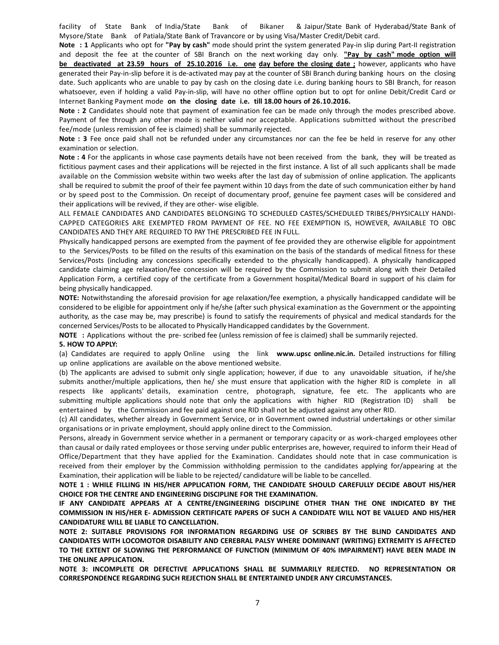facility of State Bank of India/State Bank of Bikaner & Jaipur/State Bank of Hyderabad/State Bank of Mysore/State Bank of Patiala/State Bank of Travancore or by using Visa/Master Credit/Debit card.

**Note : 1** Applicants who opt for **"Pay by cash"** mode should print the system generated Pay‐in slip during Part‐II registration and deposit the fee at the counter of SBI Branch on the next working day only. **"Pay by cash" mode option will** be deactivated at 23.59 hours of 25.10.2016 i.e. one day before the closing date; however, applicants who have generated their Pay‐in‐slip before it is de‐activated may pay at the counter of SBI Branch during banking hours on the closing date. Such applicants who are unable to pay by cash on the closing date i.e. during banking hours to SBI Branch, for reason whatsoever, even if holding a valid Pay-in-slip, will have no other offline option but to opt for online Debit/Credit Card or Internet Banking Payment mode **on the closing date i.e. till 18.00 hours of 26.10.2016.**

**Note : 2** Candidates should note that payment of examination fee can be made only through the modes prescribed above. Payment of fee through any other mode is neither valid nor acceptable. Applications submitted without the prescribed fee/mode (unless remission of fee is claimed) shall be summarily rejected.

**Note : 3** Fee once paid shall not be refunded under any circumstances nor can the fee be held in reserve for any other examination or selection.

**Note : 4** For the applicants in whose case payments details have not been received from the bank, they will be treated as fictitious payment cases and their applications will be rejected in the first instance. A list of all such applicants shall be made available on the Commission website within two weeks after the last day of submission of online application. The applicants shall be required to submit the proof of their fee payment within 10 days from the date of such communication either by hand or by speed post to the Commission. On receipt of documentary proof, genuine fee payment cases will be considered and their applications will be revived, if they are other‐ wise eligible.

ALL FEMALE CANDIDATES AND CANDIDATES BELONGING TO SCHEDULED CASTES/SCHEDULED TRIBES/PHYSICALLY HANDI‐ CAPPED CATEGORIES ARE EXEMPTED FROM PAYMENT OF FEE. NO FEE EXEMPTION IS, HOWEVER, AVAILABLE TO OBC CANDIDATES AND THEY ARE REQUIRED TO PAY THE PRESCRIBED FEE IN FULL.

Physically handicapped persons are exempted from the payment of fee provided they are otherwise eligible for appointment to the Services/Posts to be filled on the results of this examination on the basis of the standards of medical fitness for these Services/Posts (including any concessions specifically extended to the physically handicapped). A physically handicapped candidate claiming age relaxation/fee concession will be required by the Commission to submit along with their Detailed Application Form, a certified copy of the certificate from a Government hospital/Medical Board in support of his claim for being physically handicapped.

**NOTE:** Notwithstanding the aforesaid provision for age relaxation/fee exemption, a physically handicapped candidate will be considered to be eligible for appointment only if he/she (after such physical examination as the Government or the appointing authority, as the case may be, may prescribe) is found to satisfy the requirements of physical and medical standards for the concerned Services/Posts to be allocated to Physically Handicapped candidates by the Government.

**NOTE** : Applications without the pre- scribed fee (unless remission of fee is claimed) shall be summarily rejected.

#### **5. HOW TO APPLY:**

(a) Candidates are required to apply Online using the link www.upsc online.nic.in. Detailed instructions for filling up online applications are available on the above mentioned website.

(b) The applicants are advised to submit only single application; however, if due to any unavoidable situation, if he/she submits another/multiple applications, then he/ she must ensure that application with the higher RID is complete in all respects like applicants' details, examination centre, photograph, signature, fee etc. The applicants who are submitting multiple applications should note that only the applications with higher RID (Registration ID) shall be entertained by the Commission and fee paid against one RID shall not be adjusted against any other RID.

(c) All candidates, whether already in Government Service, or in Government owned industrial undertakings or other similar organisations or in private employment, should apply online direct to the Commission.

Persons, already in Government service whether in a permanent or temporary capacity or as work‐charged employees other than causal or daily rated employees or those serving under public enterprises are, however, required to inform their Head of Office/Department that they have applied for the Examination. Candidates should note that in case communication is received from their employer by the Commission withholding permission to the candidates applying for/appearing at the Examination, their application will be liable to be rejected/ candidature will be liable to be cancelled.

**NOTE 1 : WHILE FILLING IN HIS/HER APPLICATION FORM, THE CANDIDATE SHOULD CAREFULLY DECIDE ABOUT HIS/HER CHOICE FOR THE CENTRE AND ENGINEERING DISCIPLINE FOR THE EXAMINATION.**

**IF ANY CANDIDATE APPEARS AT A CENTRE/ENGINEERING DISCIPLINE OTHER THAN THE ONE INDICATED BY THE** COMMISSION IN HIS/HER E- ADMISSION CERTIFICATE PAPERS OF SUCH A CANDIDATE WILL NOT BE VALUED AND HIS/HER **CANDIDATURE WILL BE LIABLE TO CANCELLATION.**

**NOTE 2: SUITABLE PROVISIONS FOR INFORMATION REGARDING USE OF SCRIBES BY THE BLIND CANDIDATES AND CANDIDATES WITH LOCOMOTOR DISABILITY AND CEREBRAL PALSY WHERE DOMINANT (WRITING) EXTREMITY IS AFFECTED TO THE EXTENT OF SLOWING THE PERFORMANCE OF FUNCTION (MINIMUM OF 40% IMPAIRMENT) HAVE BEEN MADE IN THE ONLINE APPLICATION.**

**NOTE 3: INCOMPLETE OR DEFECTIVE APPLICATIONS SHALL BE SUMMARILY REJECTED. NO REPRESENTATION OR CORRESPONDENCE REGARDING SUCH REJECTION SHALL BE ENTERTAINED UNDER ANY CIRCUMSTANCES.**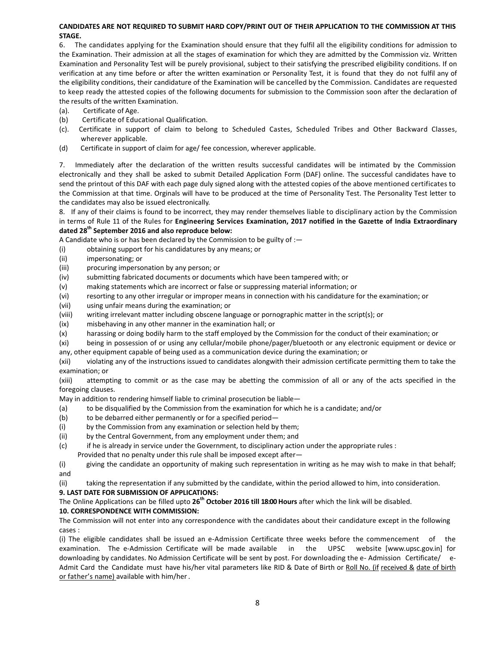## **CANDIDATES ARE NOT REQUIRED TO SUBMIT HARD COPY/PRINT OUT OF THEIR APPLICATION TO THE COMMISSION AT THIS STAGE.**

6. The candidates applying for the Examination should ensure that they fulfil all the eligibility conditions for admission to the Examination. Their admission at all the stages of examination for which they are admitted by the Commission viz. Written Examination and Personality Test will be purely provisional, subject to their satisfying the prescribed eligibility conditions. If on verification at any time before or after the written examination or Personality Test, it is found that they do not fulfil any of the eligibility conditions, their candidature of the Examination will be cancelled by the Commission. Candidates are requested to keep ready the attested copies of the following documents for submission to the Commission soon after the declaration of the results of the written Examination.

- (a). Certificate of Age.
- (b) Certificate of Educational Qualification.
- (c). Certificate in support of claim to belong to Scheduled Castes, Scheduled Tribes and Other Backward Classes, wherever applicable.
- (d) Certificate in support of claim for age/ fee concession, wherever applicable.

7. Immediately after the declaration of the written results successful candidates will be intimated by the Commission electronically and they shall be asked to submit Detailed Application Form (DAF) online. The successful candidates have to send the printout of this DAF with each page duly signed along with the attested copies of the above mentioned certificates to the Commission at that time. Orginals will have to be produced at the time of Personality Test. The Personality Test letter to the candidates may also be issued electronically.

8. If any of their claims is found to be incorrect, they may render themselves liable to disciplinary action by the Commission in terms of Rule 11 of the Rules for **Engineering Services Examination, 2017 notified in the Gazette of India Extraordinary dated 28th September 2016 and also reproduce below:**

A Candidate who is or has been declared by the Commission to be guilty of :—

- (i) obtaining support for his candidatures by any means; or
- (ii) impersonating; or
- (iii) procuring impersonation by any person; or
- (iv) submitting fabricated documents or documents which have been tampered with; or
- (v) making statements which are incorrect or false or suppressing material information; or
- (vi) resorting to any other irregular or improper means in connection with his candidature for the examination; or
- (vii) using unfair means during the examination; or
- (viii) writing irrelevant matter including obscene language or pornographic matter in the script(s); or
- (ix) misbehaving in any other manner in the examination hall; or
- (x) harassing or doing bodily harm to the staff employed by the Commission for the conduct of their examination; or
- (xi) being in possession of or using any cellular/mobile phone/pager/bluetooth or any electronic equipment or device or any, other equipment capable of being used as a communication device during the examination; or

(xii) violating any of the instructions issued to candidates alongwith their admission certificate permitting them to take the examination; or

(xiii) attempting to commit or as the case may be abetting the commission of all or any of the acts specified in the foregoing clauses.

May in addition to rendering himself liable to criminal prosecution be liable—

- (a) to be disqualified by the Commission from the examination for which he is a candidate; and/or
- (b) to be debarred either permanently or for a specified period—
- (i) by the Commission from any examination or selection held by them;
- (ii) by the Central Government, from any employment under them; and
- (c) if he is already in service under the Government, to disciplinary action under the appropriate rules : Provided that no penalty under this rule shall be imposed except after—

(i) giving the candidate an opportunity of making such representation in writing as he may wish to make in that behalf; and

(ii) taking the representation if any submitted by the candidate, within the period allowed to him, into consideration.

## **9. LAST DATE FOR SUBMISSION OF APPLICATIONS:**

The Online Applications can be filled upto **26th October 2016 till 18:00 Hours** after which the link will be disabled.

## **10. CORRESPONDENCE WITH COMMISSION:**

The Commission will not enter into any correspondence with the candidates about their candidature except in the following cases :

(i) The eligible candidates shall be issued an e-Admission Certificate three weeks before the commencement of examination. The e-Admission Certificate will be made available in the UPSC website [www.upsc.gov.in] for downloading by candidates. No Admission Certificate will be sent by post. For downloading the e- Admission Certificate/ e-Admit Card the Candidate must have his/her vital parameters like RID & Date of Birth or Roll No. (if received & date of birth or father's name) available with him/her.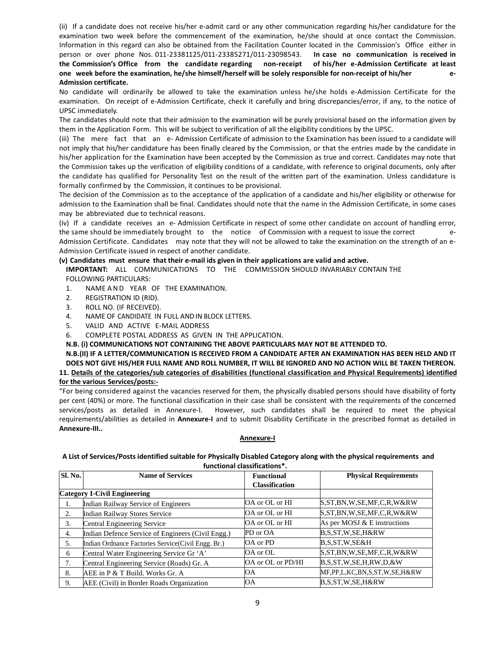(ii) If a candidate does not receive his/her e‐admit card or any other communication regarding his/her candidature for the examination two week before the commencement of the examination, he/she should at once contact the Commission. Information in this regard can also be obtained from the Facilitation Counter located in the Commission's Office either in person or over phone Nos. 011‐23381125/011‐23385271/011‐23098543. **In case no communication is received in** the Commission's Office from the candidate regarding non-receipt of his/her e-Admission Certificate at least one week before the examination, he/she himself/herself will be solely responsible for non-receipt of his/her e-**Admission certificate.**

No candidate will ordinarily be allowed to take the examination unless he/she holds e‐Admission Certificate for the examination. On receipt of e‐Admission Certificate, check it carefully and bring discrepancies/error, if any, to the notice of UPSC immediately.

The candidates should note that their admission to the examination will be purely provisional based on the information given by them in the Application Form. This will be subject to verification of all the eligibility conditions by the UPSC.

(iii) The mere fact that an e‐ Admission Certificate of admission to the Examination has been issued to a candidate will not imply that his/her candidature has been finally cleared by the Commission, or that the entries made by the candidate in his/her application for the Examination have been accepted by the Commission as true and correct. Candidates may note that the Commission takes up the verification of eligibility conditions of a candidate, with reference to original documents, only after the candidate has qualified for Personality Test on the result of the written part of the examination. Unless candidature is formally confirmed by the Commission, it continues to be provisional.

The decision of the Commission as to the acceptance of the application of a candidate and his/her eligibility or otherwise for admission to the Examination shall be final. Candidates should note that the name in the Admission Certificate, in some cases may be abbreviated due to technical reasons.

(iv) If a candidate receives an e‐ Admission Certificate in respect of some other candidate on account of handling error, the same should be immediately brought to the notice of Commission with a request to issue the correct Admission Certificate. Candidates may note that they will not be allowed to take the examination on the strength of an e-Admission Certificate issued in respect of another candidate.

## **(v) Candidates must ensure that their e‐mail ids given in their applications are valid and active.**

**IMPORTANT:** ALL COMMUNICATIONS TO THE COMMISSION SHOULD INVARIABLY CONTAIN THE FOLLOWING PARTICULARS:

- 1. NAME AND YEAR OF THE EXAMINATION.
- 2. REGISTRATION ID (RID).
- 3. ROLL NO. (IF RECEIVED).
- 4. NAME OF CANDIDATE IN FULL AND IN BLOCK LETTERS.
- 5. VALID AND ACTIVE E‐MAIL ADDRESS
- 6. COMPLETE POSTAL ADDRESS AS GIVEN IN THE APPLICATION.

**N.B. (i) COMMUNICATIONS NOT CONTAINING THE ABOVE PARTICULARS MAY NOT BE ATTENDED TO.**

**N.B.(II) IF A LETTER/COMMUNICATION IS RECEIVED FROM A CANDIDATE AFTER AN EXAMINATION HAS BEEN HELD AND IT** DOES NOT GIVE HIS/HER FULL NAME AND ROLL NUMBER, IT WILL BE IGNORED AND NO ACTION WILL BE TAKEN THEREON. **11. Details of the categories/sub categories of disabilities (functional classification and Physical Requirements) identified**

**for the various Services/posts:‐**

"For being considered against the vacancies reserved for them, the physically disabled persons should have disability of forty per cent (40%) or more. The functional classification in their case shall be consistent with the requirements of the concerned services/posts as detailed in Annexure-I. However, such candidates shall be required to meet the physical requirements/abilities as detailed in **Annexure‐I** and to submit Disability Certificate in the prescribed format as detailed in **Annexure‐III..**

## **Annexure‐I**

A List of Services/Posts identified suitable for Physically Disabled Category along with the physical requirements and **functional classifications\*.**

| <b>Sl. No.</b> | <b>Name of Services</b>                            | <b>Functional</b>     | <b>Physical Requirements</b>     |
|----------------|----------------------------------------------------|-----------------------|----------------------------------|
|                |                                                    | <b>Classification</b> |                                  |
|                | <b>Category I-Civil Engineering</b>                |                       |                                  |
| 1.             | <b>Indian Railway Service of Engineers</b>         | OA or OL or HI        | S, ST, BN, W, SE, MF, C, R, W&RW |
| 2.             | <b>Indian Railway Stores Service</b>               | OA or OL or HI        | S,ST,BN,W,SE,MF,C,R,W&RW         |
| 3.             | Central Engineering Service                        | OA or OL or HI        | As per MOSJ & E instructions     |
| 4.             | Indian Defence Service of Engineers (Civil Engg.)  | PD or OA              | B,S,ST,W,SE,H&RW                 |
| 5.             | Indian Ordnance Factories Service(Civil Engg. Br.) | OA or PD              | B,S,ST,W,SE&H                    |
| 6              | Central Water Engineering Service Gr 'A'           | OA or OL              | S,ST,BN,W,SE,MF,C,R,W&RW         |
| 7.             | Central Engineering Service (Roads) Gr. A          | OA or OL or PD/HI     | B, S, ST, W, SE, H, RW, D, & W   |
| 8.             | AEE in P & T Build. Works Gr. A                    | OΑ                    | MF,PP,L,KC,BN,S,ST,W,SE,H&RW     |
| 9.             | AEE (Civil) in Border Roads Organization           | <b>OA</b>             | B,S,ST,W,SE,H&RW                 |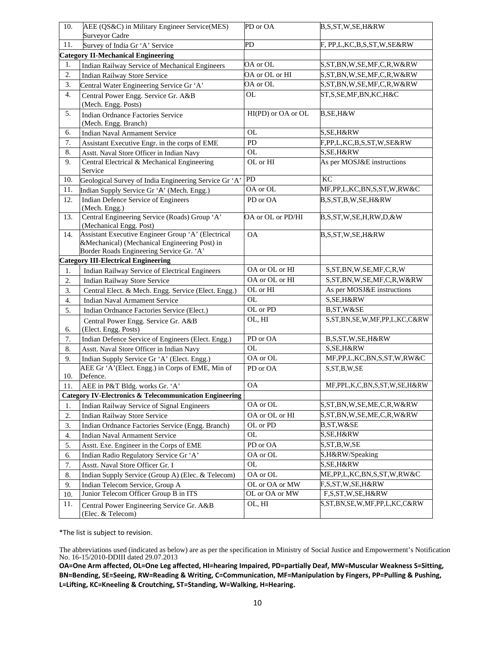| 10. | AEE (QS&C) in Military Engineer Service(MES)                                                                                                    | PD or OA           | B,S,ST,W,SE,H&RW                      |
|-----|-------------------------------------------------------------------------------------------------------------------------------------------------|--------------------|---------------------------------------|
| 11. | <b>Surveyor Cadre</b>                                                                                                                           | PD                 | F, PP,L,KC,B,S,ST,W,SE&RW             |
|     | Survey of India Gr 'A' Service                                                                                                                  |                    |                                       |
|     | <b>Category II-Mechanical Engineering</b>                                                                                                       | OA or OL           |                                       |
| 1.  | Indian Railway Service of Mechanical Engineers                                                                                                  | OA or OL or HI     | S,ST,BN,W,SE,MF,C,R,W&RW              |
| 2.  | <b>Indian Railway Store Service</b>                                                                                                             | OA or OL           | S,ST,BN,W,SE,MF,C,R,W&RW              |
| 3.  | Central Water Engineering Service Gr 'A'                                                                                                        |                    | S,ST,BN,W,SE,MF,C,R,W&RW              |
| 4.  | Central Power Engg. Service Gr. A&B<br>(Mech. Engg. Posts)                                                                                      | <b>OL</b>          | ST,S,SE,MF,BN,KC,H&C                  |
| 5.  | <b>Indian Ordnance Factories Service</b><br>(Mech. Engg. Branch)                                                                                | HI(PD) or OA or OL | B, SE, H&W                            |
| 6.  | <b>Indian Naval Armament Service</b>                                                                                                            | <b>OL</b>          | S, SE, H&RW                           |
| 7.  | Assistant Executive Engr. in the corps of EME                                                                                                   | PD                 | F,PP,L,KC,B,S,ST,W,SE&RW              |
| 8.  | Asstt. Naval Store Officer in Indian Navy                                                                                                       | <b>OL</b>          | S, SE, H&RW                           |
| 9.  | Central Electrical & Mechanical Engineering<br>Service                                                                                          | OL or HI           | As per MOSJ&E instructions            |
| 10. | Geological Survey of India Engineering Service Gr 'A'                                                                                           | <b>PD</b>          | KC                                    |
| 11. | Indian Supply Service Gr 'A' (Mech. Engg.)                                                                                                      | OA or OL           | MF,PP,L,KC,BN,S,ST,W,RW&C             |
| 12. | Indian Defence Service of Engineers<br>(Mech. Engg.)                                                                                            | PD or OA           | B,S,ST,B,W,SE,H&RW                    |
| 13. | Central Engineering Service (Roads) Group 'A'<br>(Mechanical Engg. Post)                                                                        | OA or OL or PD/HI  | B,S,ST,W,SE,H,RW,D,&W                 |
| 14. | Assistant Executive Engineer Group 'A' (Electrical<br>&Mechanical) (Mechanical Engineering Post) in<br>Border Roads Engineering Service Gr. 'A' | <b>OA</b>          | B,S,ST,W,SE,H&RW                      |
|     | <b>Category III-Electrical Engineering</b>                                                                                                      |                    |                                       |
| 1.  | Indian Railway Service of Electrical Engineers                                                                                                  | OA or OL or HI     | S, ST, BN, W, SE, MF, C, R, W         |
| 2.  | <b>Indian Railway Store Service</b>                                                                                                             | OA or OL or HI     | S, ST, BN, W, SE, MF, C, R, W&RW      |
| 3.  | Central Elect. & Mech. Engg. Service (Elect. Engg.)                                                                                             | OL or HI           | As per MOSJ&E instructions            |
| 4.  | <b>Indian Naval Armament Service</b>                                                                                                            | <b>OL</b>          | S, SE, H&RW                           |
| 5.  | Indian Ordnance Factories Service (Elect.)                                                                                                      | OL or PD           | B, ST, W&SE                           |
| 6.  | Central Power Engg. Service Gr. A&B<br>(Elect. Engg. Posts)                                                                                     | OL, HI             | S,ST,BN,SE,W,MF,PP,L,KC,C&RW          |
| 7.  | Indian Defence Service of Engineers (Elect. Engg.)                                                                                              | PD or OA           | B,S,ST,W,SE,H&RW                      |
| 8.  | Asstt. Naval Store Officer in Indian Navy                                                                                                       | <b>OL</b>          | S, SE, H&RW                           |
| 9.  | Indian Supply Service Gr 'A' (Elect. Engg.)                                                                                                     | OA or OL           | MF,PP,L,KC,BN,S,ST,W,RW&C             |
| 10. | AEE Gr 'A' (Elect. Engg.) in Corps of EME, Min of<br>Defence.                                                                                   | PD or OA           | S, ST, B, W, SE                       |
| 11. | AEE in P&T Bldg. works Gr. 'A'                                                                                                                  | $\mathsf{OA}$      | MF, PPL, K, C, BN, S, ST, W, SE, H&RW |
|     | Category IV-Electronics & Telecommunication Engineering                                                                                         |                    |                                       |
| 1.  | Indian Railway Service of Signal Engineers                                                                                                      | OA or OL           | S,ST,BN,W,SE,ME,C,R,W&RW              |
| 2.  | <b>Indian Railway Store Service</b>                                                                                                             | OA or OL or HI     | S, ST, BN, W, SE, ME, C, R, W&RW      |
| 3.  | Indian Ordnance Factories Service (Engg. Branch)                                                                                                | OL or PD           | B,ST,W&SE                             |
| 4.  | Indian Naval Armament Service                                                                                                                   | OL                 | S,SE,H&RW                             |
| 5.  | Asstt. Exe. Engineer in the Corps of EME                                                                                                        | PD or OA           | S, ST, B, W, SE                       |
| 6.  | Indian Radio Regulatory Service Gr 'A'                                                                                                          | OA or OL           | S,H&RW/Speaking                       |
| 7.  | Asstt. Naval Store Officer Gr. I                                                                                                                | <b>OL</b>          | S,SE,H&RW                             |
| 8.  | Indian Supply Service (Group A) (Elec. & Telecom)                                                                                               | OA or OL           | ME, PP, L, KC, BN, S, ST, W, RW & C   |
| 9.  | Indian Telecom Service, Group A                                                                                                                 | OL or OA or MW     | F,S,ST,W,SE,H&RW                      |
| 10. | Junior Telecom Officer Group B in ITS                                                                                                           | OL or OA or MW     | F,S,ST,W,SE,H&RW                      |
| 11. | Central Power Engineering Service Gr. A&B<br>(Elec. & Telecom)                                                                                  | OL, HI             | S, ST, BN, SE, W, MF, PP, L, KC, C&RW |

\*The list is subject to revision.

The abbreviations used (indicated as below) are as per the specification in Ministry of Social Justice and Empowerment's Notification No. 16-15/2010-DDIII dated 29.07.2013

**OA=One Arm affected, OL=One Leg affected, HI=hearing Impaired, PD=partially Deaf, MW=Muscular Weakness S=Sitting, BN=Bending, SE=Seeing, RW=Reading & Writing, C=Communication, MF=Manipulation by Fingers, PP=Pulling & Pushing, L=Lifting, KC=Kneeling & Croutching, ST=Standing, W=Walking, H=Hearing.**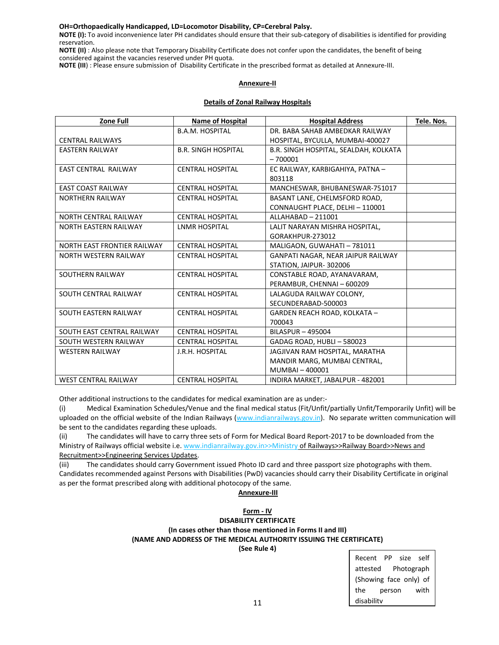### **OH=Orthopaedically Handicapped, LD=Locomotor Disability, CP=Cerebral Palsy.**

**NOTE (I):** To avoid inconvenience later PH candidates should ensure that their sub‐category of disabilities is identified for providing reservation.

**NOTE (II)** : Also please note that Temporary Disability Certificate does not confer upon the candidates, the benefit of being considered against the vacancies reserved under PH quota.

**NOTE (III**) : Please ensure submission of Disability Certificate in the prescribed format as detailed at Annexure‐III.

### **Annexure‐II**

## **Details of Zonal Railway Hospitals**

| <b>Zone Full</b>                   | <b>Name of Hospital</b>    | <b>Hospital Address</b>               | Tele. Nos. |
|------------------------------------|----------------------------|---------------------------------------|------------|
|                                    | <b>B.A.M. HOSPITAL</b>     | DR. BABA SAHAB AMBEDKAR RAILWAY       |            |
| <b>CENTRAL RAILWAYS</b>            |                            | HOSPITAL, BYCULLA, MUMBAI-400027      |            |
| <b>EASTERN RAILWAY</b>             | <b>B.R. SINGH HOSPITAL</b> | B.R. SINGH HOSPITAL, SEALDAH, KOLKATA |            |
|                                    |                            | $-700001$                             |            |
| <b>EAST CENTRAL RAILWAY</b>        | <b>CENTRAL HOSPITAL</b>    | EC RAILWAY, KARBIGAHIYA, PATNA -      |            |
|                                    |                            | 803118                                |            |
| <b>FAST COAST RAILWAY</b>          | CENTRAI HOSPITAI           | MANCHESWAR, BHUBANESWAR-751017        |            |
| <b>NORTHERN RAILWAY</b>            | <b>CENTRAL HOSPITAL</b>    | BASANT LANE, CHELMSFORD ROAD,         |            |
|                                    |                            | CONNAUGHT PLACE, DELHI - 110001       |            |
| <b>NORTH CENTRAL RAILWAY</b>       | <b>CENTRAL HOSPITAL</b>    | ALLAHABAD - 211001                    |            |
| <b>NORTH EASTERN RAILWAY</b>       | <b>LNMR HOSPITAL</b>       | LALIT NARAYAN MISHRA HOSPITAL,        |            |
|                                    |                            | GORAKHPUR-273012                      |            |
| <b>NORTH EAST FRONTIER RAILWAY</b> | <b>CENTRAL HOSPITAL</b>    | MALIGAON, GUWAHATI - 781011           |            |
| <b>NORTH WESTERN RAILWAY</b>       | <b>CENTRAL HOSPITAL</b>    | GANPATI NAGAR, NEAR JAIPUR RAILWAY    |            |
|                                    |                            | STATION, JAIPUR-302006                |            |
| SOUTHERN RAILWAY                   | <b>CENTRAL HOSPITAL</b>    | CONSTABLE ROAD, AYANAVARAM,           |            |
|                                    |                            | PERAMBUR, CHENNAI - 600209            |            |
| SOUTH CENTRAL RAILWAY              | <b>CENTRAL HOSPITAL</b>    | LALAGUDA RAILWAY COLONY,              |            |
|                                    |                            | SECUNDERABAD-500003                   |            |
| SOUTH EASTERN RAILWAY              | <b>CENTRAL HOSPITAL</b>    | GARDEN REACH ROAD, KOLKATA -          |            |
|                                    |                            | 700043                                |            |
| SOUTH EAST CENTRAL RAILWAY         | <b>CENTRAL HOSPITAL</b>    | BILASPUR - 495004                     |            |
| SOUTH WESTERN RAILWAY              | <b>CENTRAL HOSPITAL</b>    | GADAG ROAD, HUBLI-580023              |            |
| <b>WESTERN RAILWAY</b>             | J.R.H. HOSPITAL            | JAGJIVAN RAM HOSPITAL, MARATHA        |            |
|                                    |                            | MANDIR MARG, MUMBAI CENTRAL,          |            |
|                                    |                            | MUMBAI-400001                         |            |
| <b>WEST CENTRAL RAILWAY</b>        | <b>CENTRAL HOSPITAL</b>    | INDIRA MARKET, JABALPUR - 482001      |            |

Other additional instructions to the candidates for medical examination are as under:‐

(i) Medical Examination Schedules/Venue and the final medical status (Fit/Unfit/partially Unfit/Temporarily Unfit) will be uploaded on the official website of the Indian Railways (www.indianrailways.gov.in). No separate written communication will be sent to the candidates regarding these uploads.

(ii) The candidates will have to carry three sets of Form for Medical Board Report‐2017 to be downloaded from the Ministry of Railways official website i.e. www.indianrailway.gov.in>>Ministry of Railways>>Railway Board>>News and Recruitment>>Engineering Services Updates.

(iii) The candidates should carry Government issued Photo ID card and three passport size photographs with them. Candidates recommended against Persons with Disabilities (PwD) vacancies should carry their Disability Certificate in original as per the format prescribed along with additional photocopy of the same.

### **Annexure‐III**

## **Form ‐ IV DISABILITY CERTIFICATE (In cases other than those mentioned in Forms II and III) (NAME AND ADDRESS OF THE MEDICAL AUTHORITY ISSUING THE CERTIFICATE)**

**(See Rule 4)**

Recent PP size self attested Photograph (Showing face only) of the person with disability

11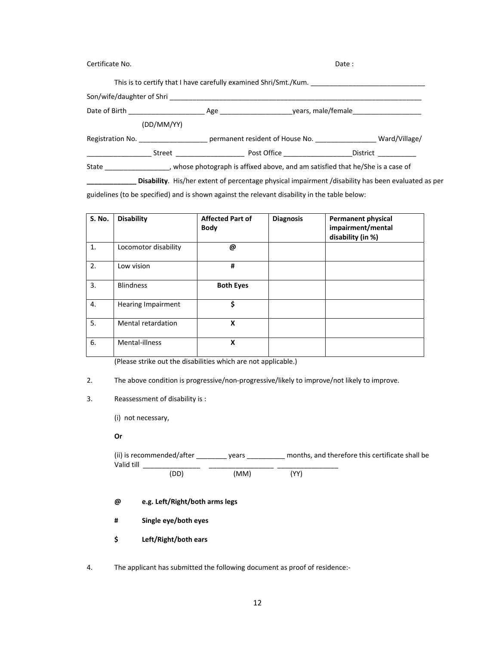| Certificate No. | Date: |                                                                  |                                                                                                   |
|-----------------|-------|------------------------------------------------------------------|---------------------------------------------------------------------------------------------------|
|                 |       | This is to certify that I have carefully examined Shri/Smt./Kum. |                                                                                                   |
|                 |       |                                                                  |                                                                                                   |
|                 |       |                                                                  |                                                                                                   |
| (DD/MM/YY)      |       |                                                                  |                                                                                                   |
|                 |       |                                                                  |                                                                                                   |
|                 |       | Street Post Office                                               | <b>District</b>                                                                                   |
|                 |       |                                                                  | State _____________, whose photograph is affixed above, and am satisfied that he/She is a case of |

**\_\_\_\_\_\_\_\_\_\_\_\_\_ Disability**. His/her extent of percentage physical impairment /disability has been evaluated as per

guidelines (to be specified) and is shown against the relevant disability in the table below:

| S. No. | <b>Disability</b>         | <b>Affected Part of</b><br><b>Body</b> | <b>Diagnosis</b> | <b>Permanent physical</b><br>impairment/mental<br>disability (in %) |
|--------|---------------------------|----------------------------------------|------------------|---------------------------------------------------------------------|
| 1.     | Locomotor disability      | @                                      |                  |                                                                     |
| 2.     | Low vision                | #                                      |                  |                                                                     |
| 3.     | <b>Blindness</b>          | <b>Both Eyes</b>                       |                  |                                                                     |
| 4.     | <b>Hearing Impairment</b> | \$                                     |                  |                                                                     |
| 5.     | Mental retardation        | X                                      |                  |                                                                     |
| 6.     | Mental-illness            | X                                      |                  |                                                                     |

(Please strike out the disabilities which are not applicable.)

2. The above condition is progressive/non-progressive/likely to improve/not likely to improve.

## 3. Reassessment of disability is :

(i) not necessary,

#### **Or**

 (ii) is recommended/after \_\_\_\_\_\_\_\_ years \_\_\_\_\_\_\_\_\_\_ months, and therefore this certificate shall be Valid till \_\_\_\_\_\_\_\_\_\_\_\_\_\_\_ \_\_\_\_\_\_\_\_\_\_\_\_\_\_\_\_\_ \_\_\_\_\_\_\_\_\_\_\_\_\_\_\_\_ (DD) (MM) (YY)

**@ e.g. Left/Right/both arms legs**

 **# Single eye/both eyes**

 **\$ Left/Right/both ears**

4. The applicant has submitted the following document as proof of residence:‐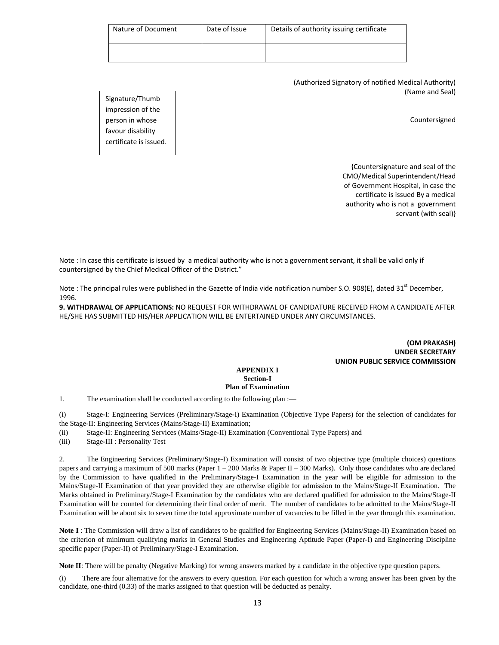| Nature of Document | Date of Issue | Details of authority issuing certificate |
|--------------------|---------------|------------------------------------------|
|                    |               |                                          |

(Authorized Signatory of notified Medical Authority) (Name and Seal)

Signature/Thumb impression of the person in whose favour disability certificate is issued.

Countersigned

{Countersignature and seal of the CMO/Medical Superintendent/Head of Government Hospital, in case the certificate is issued By a medical authority who is not a government servant (with seal)}

Note : In case this certificate is issued by a medical authority who is not a government servant, it shall be valid only if countersigned by the Chief Medical Officer of the District."

Note : The principal rules were published in the Gazette of India vide notification number S.O. 908(E), dated 31<sup>st</sup> December, 1996.

**9. WITHDRAWAL OF APPLICATIONS:** NO REQUEST FOR WITHDRAWAL OF CANDIDATURE RECEIVED FROM A CANDIDATE AFTER HE/SHE HAS SUBMITTED HIS/HER APPLICATION WILL BE ENTERTAINED UNDER ANY CIRCUMSTANCES.

> **(OM PRAKASH) UNDER SECRETARY UNION PUBLIC SERVICE COMMISSION**

#### **APPENDIX I Section-I Plan of Examination**

1. The examination shall be conducted according to the following plan :—

(i) Stage-I: Engineering Services (Preliminary/Stage-I) Examination (Objective Type Papers) for the selection of candidates for the Stage-II: Engineering Services (Mains/Stage-II) Examination;

(ii) Stage-II: Engineering Services (Mains/Stage-II) Examination (Conventional Type Papers) and

(iii) Stage-III : Personality Test

2. The Engineering Services (Preliminary/Stage-I) Examination will consist of two objective type (multiple choices) questions papers and carrying a maximum of 500 marks (Paper 1 – 200 Marks & Paper II – 300 Marks). Only those candidates who are declared by the Commission to have qualified in the Preliminary/Stage-I Examination in the year will be eligible for admission to the Mains/Stage-II Examination of that year provided they are otherwise eligible for admission to the Mains/Stage-II Examination. The Marks obtained in Preliminary/Stage-I Examination by the candidates who are declared qualified for admission to the Mains/Stage-II Examination will be counted for determining their final order of merit. The number of candidates to be admitted to the Mains/Stage-II Examination will be about six to seven time the total approximate number of vacancies to be filled in the year through this examination.

**Note I** : The Commission will draw a list of candidates to be qualified for Engineering Services (Mains/Stage-II) Examination based on the criterion of minimum qualifying marks in General Studies and Engineering Aptitude Paper (Paper-I) and Engineering Discipline specific paper (Paper-II) of Preliminary/Stage-I Examination.

**Note II**: There will be penalty (Negative Marking) for wrong answers marked by a candidate in the objective type question papers.

(i) There are four alternative for the answers to every question. For each question for which a wrong answer has been given by the candidate, one-third (0.33) of the marks assigned to that question will be deducted as penalty.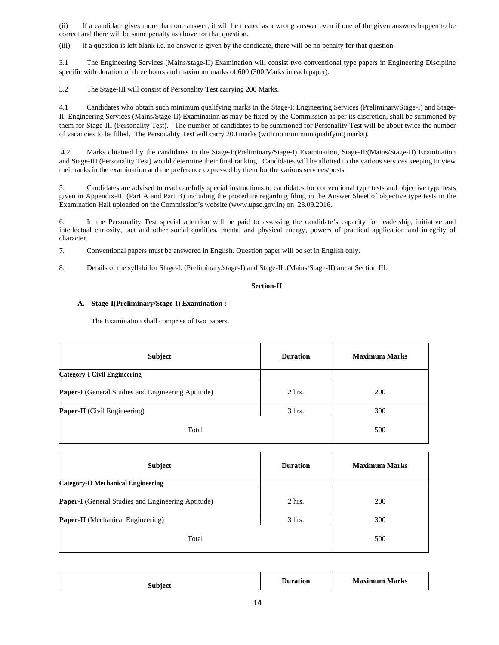(ii) If a candidate gives more than one answer, it will be treated as a wrong answer even if one of the given answers happen to be correct and there will be same penalty as above for that question.

(iii) If a question is left blank i.e. no answer is given by the candidate, there will be no penalty for that question.

3.1 The Engineering Services (Mains/stage-II) Examination will consist two conventional type papers in Engineering Discipline specific with duration of three hours and maximum marks of 600 (300 Marks in each paper).

3.2 The Stage-III will consist of Personality Test carrying 200 Marks.

4.1 Candidates who obtain such minimum qualifying marks in the Stage-I: Engineering Services (Preliminary/Stage-I) and Stage-II: Engineering Services (Mains/Stage-II) Examination as may be fixed by the Commission as per its discretion, shall be summoned by them for Stage-III (Personality Test). The number of candidates to be summoned for Personality Test will be about twice the number of vacancies to be filled. The Personality Test will carry 200 marks (with no minimum qualifying marks).

 4.2 Marks obtained by the candidates in the Stage-I:(Preliminary/Stage-I) Examination, Stage-II:(Mains/Stage-II) Examination and Stage-III (Personality Test) would determine their final ranking. Candidates will be allotted to the various services keeping in view their ranks in the examination and the preference expressed by them for the various services/posts.

5. Candidates are advised to read carefully special instructions to candidates for conventional type tests and objective type tests given in Appendix-III (Part A and Part B) including the procedure regarding filing in the Answer Sheet of objective type tests in the Examination Hall uploaded on the Commission's website (www.upsc.gov.in) on 28.09.2016.

6. In the Personality Test special attention will be paid to assessing the candidate's capacity for leadership, initiative and intellectual curiosity, tact and other social qualities, mental and physical energy, powers of practical application and integrity of character.

7. Conventional papers must be answered in English. Question paper will be set in English only.

8. Details of the syllabi for Stage-I: (Preliminary/stage-I) and Stage-II :(Mains/Stage-II) are at Section III.

## **Section-II**

## **A. Stage-I(Preliminary/Stage-I) Examination :-**

The Examination shall comprise of two papers.

| Subject                                                   | <b>Duration</b> | <b>Maximum Marks</b> |
|-----------------------------------------------------------|-----------------|----------------------|
| <b>Category-I Civil Engineering</b>                       |                 |                      |
| <b>Paper-I</b> (General Studies and Engineering Aptitude) | $2$ hrs.        | 200                  |
| <b>Paper-II</b> (Civil Engineering)                       | $3$ hrs.        | 300                  |
| Total                                                     |                 | 500                  |

| <b>Subject</b>                                            | <b>Duration</b> | <b>Maximum Marks</b> |
|-----------------------------------------------------------|-----------------|----------------------|
| <b>Category-II Mechanical Engineering</b>                 |                 |                      |
| <b>Paper-I</b> (General Studies and Engineering Aptitude) | $2$ hrs.        | 200                  |
| <b>Paper-II</b> (Mechanical Engineering)                  | $3$ hrs.        | 300                  |
| Total                                                     |                 | 500                  |

| - 1<br>hinn | ration<br>. | . .<br>Aorize<br>.<br>. . |
|-------------|-------------|---------------------------|
|             |             |                           |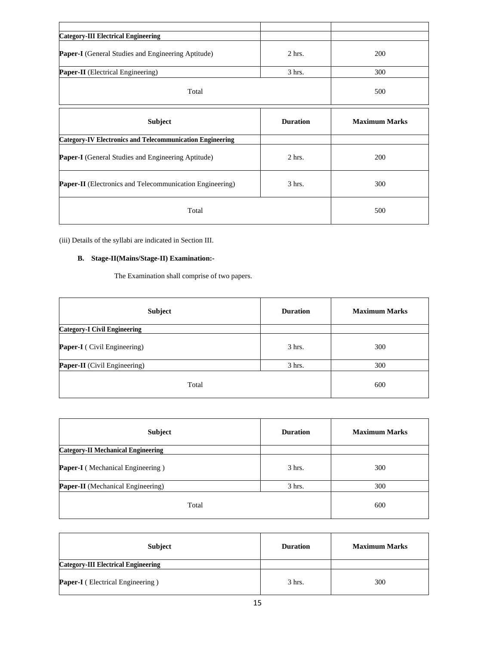| <b>Category-III Electrical Engineering</b>                       |                 |                      |  |  |  |  |
|------------------------------------------------------------------|-----------------|----------------------|--|--|--|--|
| <b>Paper-I</b> (General Studies and Engineering Aptitude)        | $2$ hrs.        | 200                  |  |  |  |  |
| Paper-II (Electrical Engineering)                                | $3$ hrs.        | 300                  |  |  |  |  |
| Total                                                            | 500             |                      |  |  |  |  |
| <b>Subject</b>                                                   | <b>Duration</b> | <b>Maximum Marks</b> |  |  |  |  |
| <b>Category-IV Electronics and Telecommunication Engineering</b> |                 |                      |  |  |  |  |
| Paper-I (General Studies and Engineering Aptitude)               | $2$ hrs.        | 200                  |  |  |  |  |
| <b>Paper-II</b> (Electronics and Telecommunication Engineering)  | 3 hrs.          | 300                  |  |  |  |  |
| Total                                                            | 500             |                      |  |  |  |  |

(iii) Details of the syllabi are indicated in Section III.

## **B. Stage-II(Mains/Stage-II) Examination:-**

The Examination shall comprise of two papers.

| Subject                             | <b>Duration</b> | <b>Maximum Marks</b> |  |  |  |  |
|-------------------------------------|-----------------|----------------------|--|--|--|--|
| <b>Category-I Civil Engineering</b> |                 |                      |  |  |  |  |
| Paper-I (Civil Engineering)         | $3$ hrs.        | 300                  |  |  |  |  |
| <b>Paper-II</b> (Civil Engineering) | $3$ hrs.        | 300                  |  |  |  |  |
| Total                               |                 | 600                  |  |  |  |  |

| Subject                                   | <b>Duration</b>  | <b>Maximum Marks</b> |  |  |  |  |
|-------------------------------------------|------------------|----------------------|--|--|--|--|
| <b>Category-II Mechanical Engineering</b> |                  |                      |  |  |  |  |
| <b>Paper-I</b> (Mechanical Engineering)   | $3 \text{ hrs.}$ | 300                  |  |  |  |  |
| <b>Paper-II</b> (Mechanical Engineering)  | $3$ hrs.         | 300                  |  |  |  |  |
| Total                                     | 600              |                      |  |  |  |  |

| <b>Subject</b>                             | <b>Duration</b> | <b>Maximum Marks</b> |  |  |  |  |  |
|--------------------------------------------|-----------------|----------------------|--|--|--|--|--|
| <b>Category-III Electrical Engineering</b> |                 |                      |  |  |  |  |  |
| <b>Paper-I</b> (Electrical Engineering)    | $3$ hrs.        | 300                  |  |  |  |  |  |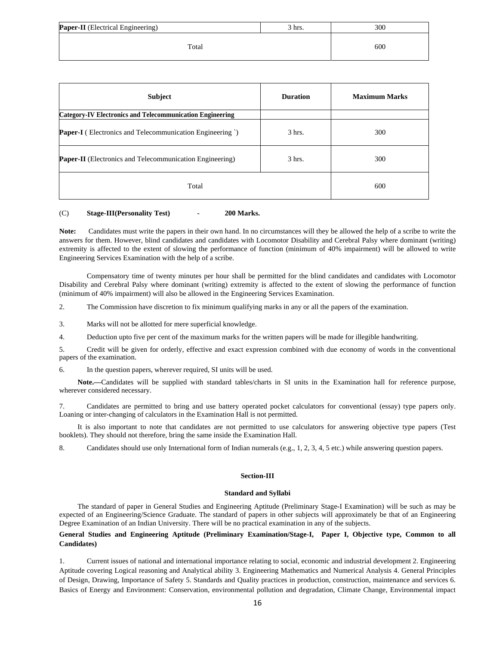| Paper-II (Electrical Engineering) | $3 \text{ hrs.}$ | 300 |
|-----------------------------------|------------------|-----|
| Total                             |                  | 600 |

| <b>Subject</b>                                                   | <b>Duration</b> | <b>Maximum Marks</b> |  |  |  |  |
|------------------------------------------------------------------|-----------------|----------------------|--|--|--|--|
| <b>Category-IV Electronics and Telecommunication Engineering</b> |                 |                      |  |  |  |  |
| <b>Paper-I</b> (Electronics and Telecommunication Engineering)   | $3$ hrs.        | 300                  |  |  |  |  |
| <b>Paper-II</b> (Electronics and Telecommunication Engineering)  | $3$ hrs.        | 300                  |  |  |  |  |
| Total                                                            | 600             |                      |  |  |  |  |

#### (C) **Stage-III(Personality Test) - 200 Marks.**

Note: Candidates must write the papers in their own hand. In no circumstances will they be allowed the help of a scribe to write the answers for them. However, blind candidates and candidates with Locomotor Disability and Cerebral Palsy where dominant (writing) extremity is affected to the extent of slowing the performance of function (minimum of 40% impairment) will be allowed to write Engineering Services Examination with the help of a scribe.

Compensatory time of twenty minutes per hour shall be permitted for the blind candidates and candidates with Locomotor Disability and Cerebral Palsy where dominant (writing) extremity is affected to the extent of slowing the performance of function (minimum of 40% impairment) will also be allowed in the Engineering Services Examination.

2. The Commission have discretion to fix minimum qualifying marks in any or all the papers of the examination.

3. Marks will not be allotted for mere superficial knowledge.

4. Deduction upto five per cent of the maximum marks for the written papers will be made for illegible handwriting.

5. Credit will be given for orderly, effective and exact expression combined with due economy of words in the conventional papers of the examination.

6. In the question papers, wherever required, SI units will be used.

**Note.—**Candidates will be supplied with standard tables/charts in SI units in the Examination hall for reference purpose, wherever considered necessary.

7. Candidates are permitted to bring and use battery operated pocket calculators for conventional (essay) type papers only. Loaning or inter-changing of calculators in the Examination Hall is not permitted.

It is also important to note that candidates are not permitted to use calculators for answering objective type papers (Test booklets). They should not therefore, bring the same inside the Examination Hall.

8. Candidates should use only International form of Indian numerals (e.g., 1, 2, 3, 4, 5 etc.) while answering question papers.

#### **Section-III**

#### **Standard and Syllabi**

The standard of paper in General Studies and Engineering Aptitude (Preliminary Stage-I Examination) will be such as may be expected of an Engineering/Science Graduate. The standard of papers in other subjects will approximately be that of an Engineering Degree Examination of an Indian University. There will be no practical examination in any of the subjects.

## **General Studies and Engineering Aptitude (Preliminary Examination/Stage-I, Paper I, Objective type, Common to all Candidates)**

1. Current issues of national and international importance relating to social, economic and industrial development 2. Engineering Aptitude covering Logical reasoning and Analytical ability 3. Engineering Mathematics and Numerical Analysis 4. General Principles of Design, Drawing, Importance of Safety 5. Standards and Quality practices in production, construction, maintenance and services 6. Basics of Energy and Environment: Conservation, environmental pollution and degradation, Climate Change, Environmental impact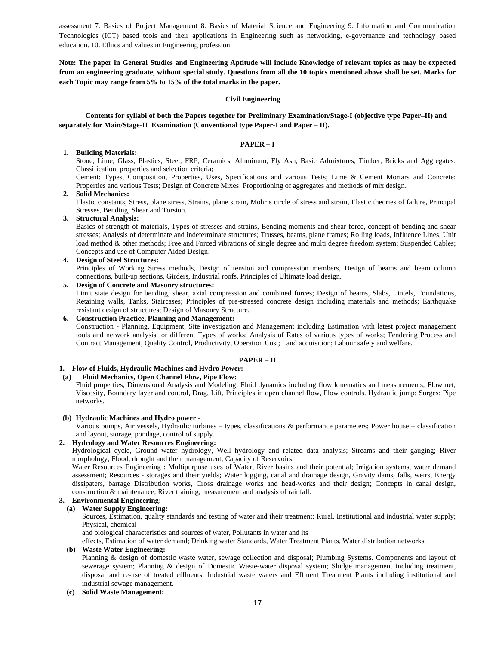assessment 7. Basics of Project Management 8. Basics of Material Science and Engineering 9. Information and Communication Technologies (ICT) based tools and their applications in Engineering such as networking, e-governance and technology based education. 10. Ethics and values in Engineering profession.

**Note: The paper in General Studies and Engineering Aptitude will include Knowledge of relevant topics as may be expected from an engineering graduate, without special study. Questions from all the 10 topics mentioned above shall be set. Marks for each Topic may range from 5% to 15% of the total marks in the paper.** 

#### **Civil Engineering**

**Contents for syllabi of both the Papers together for Preliminary Examination/Stage-I (objective type Paper–II) and separately for Main/Stage-II Examination (Conventional type Paper-I and Paper – II).** 

## **PAPER – I**

## **1. Building Materials:**

Stone, Lime, Glass, Plastics, Steel, FRP, Ceramics, Aluminum, Fly Ash, Basic Admixtures, Timber, Bricks and Aggregates: Classification, properties and selection criteria;

Cement: Types, Composition, Properties, Uses, Specifications and various Tests; Lime & Cement Mortars and Concrete: Properties and various Tests; Design of Concrete Mixes: Proportioning of aggregates and methods of mix design.

#### **2. Solid Mechanics:**

Elastic constants, Stress, plane stress, Strains, plane strain, Mohr's circle of stress and strain, Elastic theories of failure, Principal Stresses, Bending, Shear and Torsion.

#### **3. Structural Analysis:**

Basics of strength of materials, Types of stresses and strains, Bending moments and shear force, concept of bending and shear stresses; Analysis of determinate and indeterminate structures; Trusses, beams, plane frames; Rolling loads, Influence Lines, Unit load method & other methods; Free and Forced vibrations of single degree and multi degree freedom system; Suspended Cables; Concepts and use of Computer Aided Design.

#### **4. Design of Steel Structures:**

Principles of Working Stress methods, Design of tension and compression members, Design of beams and beam column connections, built-up sections, Girders, Industrial roofs, Principles of Ultimate load design.

## **5. Design of Concrete and Masonry structures:**

Limit state design for bending, shear, axial compression and combined forces; Design of beams, Slabs, Lintels, Foundations, Retaining walls, Tanks, Staircases; Principles of pre-stressed concrete design including materials and methods; Earthquake resistant design of structures; Design of Masonry Structure.

#### **6. Construction Practice, Planning and Management:**

Construction - Planning, Equipment, Site investigation and Management including Estimation with latest project management tools and network analysis for different Types of works; Analysis of Rates of various types of works; Tendering Process and Contract Management, Quality Control, Productivity, Operation Cost; Land acquisition; Labour safety and welfare.

## **PAPER – II**

### **1. Flow of Fluids, Hydraulic Machines and Hydro Power:**

#### **(a) Fluid Mechanics, Open Channel Flow, Pipe Flow:**

Fluid properties; Dimensional Analysis and Modeling; Fluid dynamics including flow kinematics and measurements; Flow net; Viscosity, Boundary layer and control, Drag, Lift, Principles in open channel flow, Flow controls. Hydraulic jump; Surges; Pipe networks.

#### **(b) Hydraulic Machines and Hydro power -**

Various pumps, Air vessels, Hydraulic turbines – types, classifications & performance parameters; Power house – classification and layout, storage, pondage, control of supply.

### **2. Hydrology and Water Resources Engineering:**

Hydrological cycle, Ground water hydrology, Well hydrology and related data analysis; Streams and their gauging; River morphology; Flood, drought and their management; Capacity of Reservoirs.

Water Resources Engineering : Multipurpose uses of Water, River basins and their potential; Irrigation systems, water demand assessment; Resources - storages and their yields; Water logging, canal and drainage design, Gravity dams, falls, weirs, Energy dissipaters, barrage Distribution works, Cross drainage works and head-works and their design; Concepts in canal design, construction & maintenance; River training, measurement and analysis of rainfall.

## **3. Environmental Engineering:**

## **(a) Water Supply Engineering:**

Sources, Estimation, quality standards and testing of water and their treatment; Rural, Institutional and industrial water supply; Physical, chemical

and biological characteristics and sources of water, Pollutants in water and its

effects, Estimation of water demand; Drinking water Standards, Water Treatment Plants, Water distribution networks.

#### **(b) Waste Water Engineering:**

Planning & design of domestic waste water, sewage collection and disposal; Plumbing Systems. Components and layout of sewerage system; Planning & design of Domestic Waste-water disposal system; Sludge management including treatment, disposal and re-use of treated effluents; Industrial waste waters and Effluent Treatment Plants including institutional and industrial sewage management.

#### **(c) Solid Waste Management:**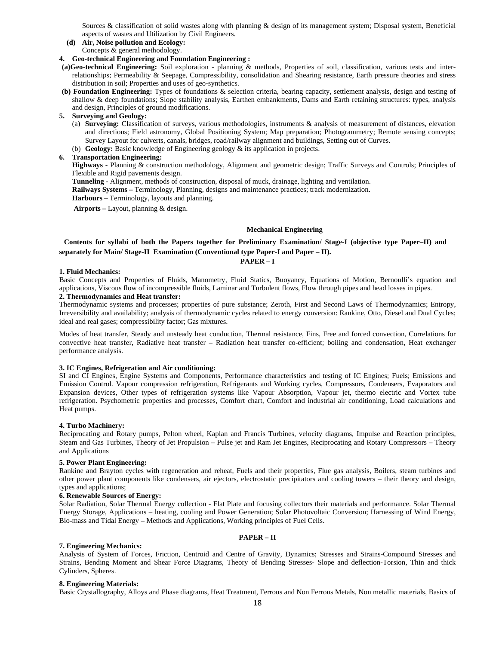Sources & classification of solid wastes along with planning & design of its management system; Disposal system, Beneficial aspects of wastes and Utilization by Civil Engineers.

**(d) Air, Noise pollution and Ecology:** 

Concepts & general methodology.

## **4. Geo-technical Engineering and Foundation Engineering :**

**(a)Geo-technical Engineering:** Soil exploration - planning & methods, Properties of soil, classification, various tests and interrelationships; Permeability & Seepage, Compressibility, consolidation and Shearing resistance, Earth pressure theories and stress distribution in soil; Properties and uses of geo-synthetics.

- **(b) Foundation Engineering:** Types of foundations & selection criteria, bearing capacity, settlement analysis, design and testing of shallow & deep foundations; Slope stability analysis, Earthen embankments, Dams and Earth retaining structures: types, analysis and design, Principles of ground modifications.
- **5. Surveying and Geology:** 
	- (a) **Surveying:** Classification of surveys, various methodologies, instruments & analysis of measurement of distances, elevation and directions; Field astronomy, Global Positioning System; Map preparation; Photogrammetry; Remote sensing concepts; Survey Layout for culverts, canals, bridges, road/railway alignment and buildings, Setting out of Curves.
	- (b) **Geology:** Basic knowledge of Engineering geology & its application in projects.

### **6. Transportation Engineering:**

**Highways -** Planning & construction methodology, Alignment and geometric design; Traffic Surveys and Controls; Principles of Flexible and Rigid pavements design.

**Tunneling** - Alignment, methods of construction, disposal of muck, drainage, lighting and ventilation.

**Railways Systems –** Terminology, Planning, designs and maintenance practices; track modernization.

**Harbours –** Terminology, layouts and planning.

 **Airports –** Layout, planning & design.

#### **Mechanical Engineering**

## **Contents for syllabi of both the Papers together for Preliminary Examination/ Stage-I (objective type Paper–II) and separately for Main/ Stage-II Examination (Conventional type Paper-I and Paper – II).**

#### **PAPER – I**

#### **1. Fluid Mechanics:**

Basic Concepts and Properties of Fluids, Manometry, Fluid Statics, Buoyancy, Equations of Motion, Bernoulli's equation and applications, Viscous flow of incompressible fluids, Laminar and Turbulent flows, Flow through pipes and head losses in pipes. **2. Thermodynamics and Heat transfer:**

Thermodynamic systems and processes; properties of pure substance; Zeroth, First and Second Laws of Thermodynamics; Entropy, Irreversibility and availability; analysis of thermodynamic cycles related to energy conversion: Rankine, Otto, Diesel and Dual Cycles; ideal and real gases; compressibility factor; Gas mixtures.

Modes of heat transfer, Steady and unsteady heat conduction, Thermal resistance, Fins, Free and forced convection, Correlations for convective heat transfer, Radiative heat transfer – Radiation heat transfer co-efficient; boiling and condensation, Heat exchanger performance analysis.

#### **3. IC Engines, Refrigeration and Air conditioning:**

SI and CI Engines, Engine Systems and Components, Performance characteristics and testing of IC Engines; Fuels; Emissions and Emission Control. Vapour compression refrigeration, Refrigerants and Working cycles, Compressors, Condensers, Evaporators and Expansion devices, Other types of refrigeration systems like Vapour Absorption, Vapour jet, thermo electric and Vortex tube refrigeration. Psychometric properties and processes, Comfort chart, Comfort and industrial air conditioning, Load calculations and Heat pumps.

#### **4. Turbo Machinery:**

Reciprocating and Rotary pumps, Pelton wheel, Kaplan and Francis Turbines, velocity diagrams, Impulse and Reaction principles, Steam and Gas Turbines, Theory of Jet Propulsion – Pulse jet and Ram Jet Engines, Reciprocating and Rotary Compressors – Theory and Applications

#### **5. Power Plant Engineering:**

Rankine and Brayton cycles with regeneration and reheat, Fuels and their properties, Flue gas analysis, Boilers, steam turbines and other power plant components like condensers, air ejectors, electrostatic precipitators and cooling towers – their theory and design, types and applications;

#### **6. Renewable Sources of Energy:**

Solar Radiation, Solar Thermal Energy collection - Flat Plate and focusing collectors their materials and performance. Solar Thermal Energy Storage, Applications – heating, cooling and Power Generation; Solar Photovoltaic Conversion; Harnessing of Wind Energy, Bio-mass and Tidal Energy – Methods and Applications, Working principles of Fuel Cells.

## **PAPER – II**

## **7. Engineering Mechanics:**

Analysis of System of Forces, Friction, Centroid and Centre of Gravity, Dynamics; Stresses and Strains-Compound Stresses and Strains, Bending Moment and Shear Force Diagrams, Theory of Bending Stresses- Slope and deflection-Torsion, Thin and thick Cylinders, Spheres.

#### **8. Engineering Materials:**

Basic Crystallography, Alloys and Phase diagrams, Heat Treatment, Ferrous and Non Ferrous Metals, Non metallic materials, Basics of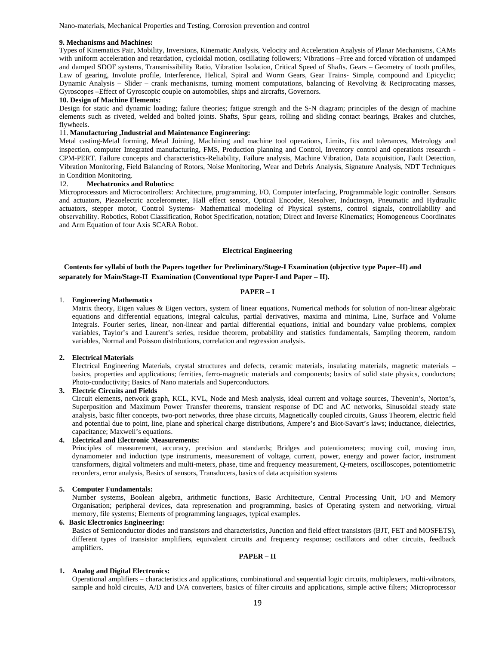Nano-materials, Mechanical Properties and Testing, Corrosion prevention and control

#### **9. Mechanisms and Machines:**

Types of Kinematics Pair, Mobility, Inversions, Kinematic Analysis, Velocity and Acceleration Analysis of Planar Mechanisms, CAMs with uniform acceleration and retardation, cycloidal motion, oscillating followers; Vibrations –Free and forced vibration of undamped and damped SDOF systems, Transmissibility Ratio, Vibration Isolation, Critical Speed of Shafts. Gears – Geometry of tooth profiles, Law of gearing, Involute profile, Interference, Helical, Spiral and Worm Gears, Gear Trains- Simple, compound and Epicyclic; Dynamic Analysis – Slider – crank mechanisms, turning moment computations, balancing of Revolving & Reciprocating masses, Gyroscopes –Effect of Gyroscopic couple on automobiles, ships and aircrafts, Governors.

#### **10. Design of Machine Elements:**

Design for static and dynamic loading; failure theories; fatigue strength and the S-N diagram; principles of the design of machine elements such as riveted, welded and bolted joints. Shafts, Spur gears, rolling and sliding contact bearings, Brakes and clutches, flywheels.

#### 11. **Manufacturing ,Industrial and Maintenance Engineering:**

Metal casting-Metal forming, Metal Joining, Machining and machine tool operations, Limits, fits and tolerances, Metrology and inspection, computer Integrated manufacturing, FMS, Production planning and Control, Inventory control and operations research - CPM-PERT. Failure concepts and characteristics-Reliability, Failure analysis, Machine Vibration, Data acquisition, Fault Detection, Vibration Monitoring, Field Balancing of Rotors, Noise Monitoring, Wear and Debris Analysis, Signature Analysis, NDT Techniques in Condition Monitoring.

#### 12. **Mechatronics and Robotics:**

Microprocessors and Microcontrollers: Architecture, programming, I/O, Computer interfacing, Programmable logic controller. Sensors and actuators, Piezoelectric accelerometer, Hall effect sensor, Optical Encoder, Resolver, Inductosyn, Pneumatic and Hydraulic actuators, stepper motor, Control Systems- Mathematical modeling of Physical systems, control signals, controllability and observability. Robotics, Robot Classification, Robot Specification, notation; Direct and Inverse Kinematics; Homogeneous Coordinates and Arm Equation of four Axis SCARA Robot.

#### **Electrical Engineering**

## **Contents for syllabi of both the Papers together for Preliminary/Stage-I Examination (objective type Paper–II) and separately for Main/Stage-II Examination (Conventional type Paper-I and Paper – II).**

#### **PAPER – I**

## 1. **Engineering Mathematics**

Matrix theory, Eigen values & Eigen vectors, system of linear equations, Numerical methods for solution of non-linear algebraic equations and differential equations, integral calculus, partial derivatives, maxima and minima, Line, Surface and Volume Integrals. Fourier series, linear, non-linear and partial differential equations, initial and boundary value problems, complex variables, Taylor's and Laurent's series, residue theorem, probability and statistics fundamentals, Sampling theorem, random variables, Normal and Poisson distributions, correlation and regression analysis.

#### **2. Electrical Materials**

Electrical Engineering Materials, crystal structures and defects, ceramic materials, insulating materials, magnetic materials – basics, properties and applications; ferrities, ferro-magnetic materials and components; basics of solid state physics, conductors; Photo-conductivity; Basics of Nano materials and Superconductors.

#### **3. Electric Circuits and Fields**

Circuit elements, network graph, KCL, KVL, Node and Mesh analysis, ideal current and voltage sources, Thevenin's, Norton's, Superposition and Maximum Power Transfer theorems, transient response of DC and AC networks, Sinusoidal steady state analysis, basic filter concepts, two-port networks, three phase circuits, Magnetically coupled circuits, Gauss Theorem, electric field and potential due to point, line, plane and spherical charge distributions, Ampere's and Biot-Savart's laws; inductance, dielectrics, capacitance; Maxwell's equations.

#### **4. Electrical and Electronic Measurements:**

Principles of measurement, accuracy, precision and standards; Bridges and potentiometers; moving coil, moving iron, dynamometer and induction type instruments, measurement of voltage, current, power, energy and power factor, instrument transformers, digital voltmeters and multi-meters, phase, time and frequency measurement, Q-meters, oscilloscopes, potentiometric recorders, error analysis, Basics of sensors, Transducers, basics of data acquisition systems

#### **5. Computer Fundamentals:**

Number systems, Boolean algebra, arithmetic functions, Basic Architecture, Central Processing Unit, I/O and Memory Organisation; peripheral devices, data represenation and programming, basics of Operating system and networking, virtual memory, file systems; Elements of programming languages, typical examples.

#### **6. Basic Electronics Engineering:**

Basics of Semiconductor diodes and transistors and characteristics, Junction and field effect transistors (BJT, FET and MOSFETS), different types of transistor amplifiers, equivalent circuits and frequency response; oscillators and other circuits, feedback amplifiers.

#### **PAPER – II**

#### **1. Analog and Digital Electronics:**

Operational amplifiers – characteristics and applications, combinational and sequential logic circuits, multiplexers, multi-vibrators, sample and hold circuits, A/D and D/A converters, basics of filter circuits and applications, simple active filters; Microprocessor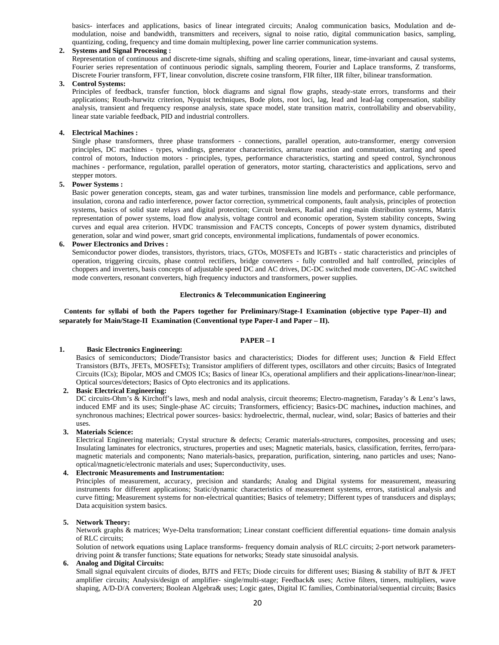basics- interfaces and applications, basics of linear integrated circuits; Analog communication basics, Modulation and demodulation, noise and bandwidth, transmitters and receivers, signal to noise ratio, digital communication basics, sampling, quantizing, coding, frequency and time domain multiplexing, power line carrier communication systems.

#### **2. Systems and Signal Processing :**

Representation of continuous and discrete-time signals, shifting and scaling operations, linear, time-invariant and causal systems, Fourier series representation of continuous periodic signals, sampling theorem, Fourier and Laplace transforms, Z transforms, Discrete Fourier transform, FFT, linear convolution, discrete cosine transform, FIR filter, IIR filter, bilinear transformation.

#### **3. Control Systems:**

Principles of feedback, transfer function, block diagrams and signal flow graphs, steady-state errors, transforms and their applications; Routh-hurwitz criterion, Nyquist techniques, Bode plots, root loci, lag, lead and lead-lag compensation, stability analysis, transient and frequency response analysis, state space model, state transition matrix, controllability and observability, linear state variable feedback, PID and industrial controllers.

#### **4. Electrical Machines :**

Single phase transformers, three phase transformers - connections, parallel operation, auto-transformer, energy conversion principles, DC machines - types, windings, generator characteristics, armature reaction and commutation, starting and speed control of motors, Induction motors - principles, types, performance characteristics, starting and speed control, Synchronous machines - performance, regulation, parallel operation of generators, motor starting, characteristics and applications, servo and stepper motors.

#### **5. Power Systems :**

Basic power generation concepts, steam, gas and water turbines, transmission line models and performance, cable performance, insulation, corona and radio interference, power factor correction, symmetrical components, fault analysis, principles of protection systems, basics of solid state relays and digital protection; Circuit breakers, Radial and ring-main distribution systems, Matrix representation of power systems, load flow analysis, voltage control and economic operation, System stability concepts, Swing curves and equal area criterion. HVDC transmission and FACTS concepts, Concepts of power system dynamics, distributed generation, solar and wind power, smart grid concepts, environmental implications, fundamentals of power economics.

#### **6. Power Electronics and Drives :**

Semiconductor power diodes, transistors, thyristors, triacs, GTOs, MOSFETs and IGBTs - static characteristics and principles of operation, triggering circuits, phase control rectifiers, bridge converters - fully controlled and half controlled, principles of choppers and inverters, basis concepts of adjustable speed DC and AC drives, DC-DC switched mode converters, DC-AC switched mode converters, resonant converters, high frequency inductors and transformers, power supplies.

#### **Electronics & Telecommunication Engineering**

### **Contents for syllabi of both the Papers together for Preliminary/Stage-I Examination (objective type Paper–II) and separately for Main/Stage-II Examination (Conventional type Paper-I and Paper – II).**

## **PAPER – I**

## **1. Basic Electronics Engineering:**

Basics of semiconductors; Diode/Transistor basics and characteristics; Diodes for different uses; Junction & Field Effect Transistors (BJTs, JFETs, MOSFETs); Transistor amplifiers of different types, oscillators and other circuits; Basics of Integrated Circuits (ICs); Bipolar, MOS and CMOS ICs; Basics of linear ICs, operational amplifiers and their applications-linear/non-linear; Optical sources/detectors; Basics of Opto electronics and its applications.

**2. Basic Electrical Engineering:** 

DC circuits-Ohm's & Kirchoff's laws, mesh and nodal analysis, circuit theorems; Electro-magnetism, Faraday's & Lenz's laws, induced EMF and its uses; Single-phase AC circuits; Transformers, efficiency; Basics-DC machines**,** induction machines, and synchronous machines; Electrical power sources- basics: hydroelectric, thermal, nuclear, wind, solar; Basics of batteries and their uses.

#### **3. Materials Science:**

Electrical Engineering materials; Crystal structure & defects; Ceramic materials-structures, composites, processing and uses; Insulating laminates for electronics, structures, properties and uses; Magnetic materials, basics, classification, ferrites, ferro/paramagnetic materials and components; Nano materials-basics, preparation, purification, sintering, nano particles and uses; Nanooptical/magnetic/electronic materials and uses; Superconductivity, uses.

#### **4. Electronic Measurements and Instrumentation:**

Principles of measurement, accuracy, precision and standards; Analog and Digital systems for measurement, measuring instruments for different applications; Static/dynamic characteristics of measurement systems, errors, statistical analysis and curve fitting; Measurement systems for non-electrical quantities; Basics of telemetry; Different types of transducers and displays; Data acquisition system basics.

#### **5. Network Theory:**

Network graphs & matrices; Wye-Delta transformation; Linear constant coefficient differential equations- time domain analysis of RLC circuits;

Solution of network equations using Laplace transforms- frequency domain analysis of RLC circuits; 2-port network parametersdriving point & transfer functions; State equations for networks; Steady state sinusoidal analysis.

### **6. Analog and Digital Circuits:**

Small signal equivalent circuits of diodes, BJTS and FETs; Diode circuits for different uses; Biasing & stability of BJT & JFET amplifier circuits; Analysis/design of amplifier- single/multi-stage; Feedback& uses; Active filters, timers, multipliers, wave shaping, A/D-D/A converters; Boolean Algebra& uses; Logic gates, Digital IC families, Combinatorial/sequential circuits; Basics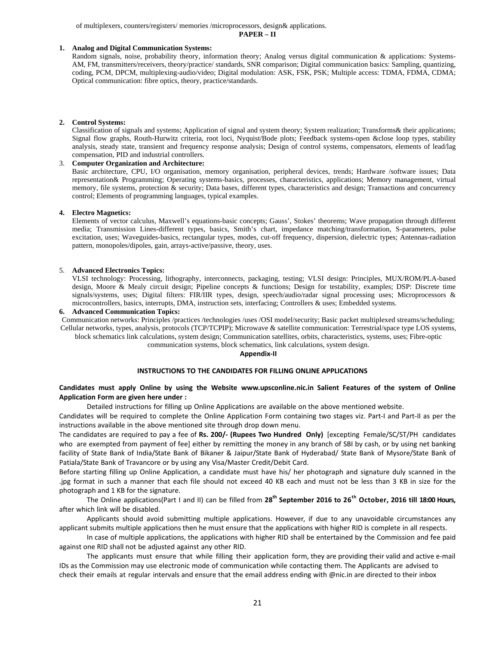of multiplexers, counters/registers/ memories /microprocessors, design& applications.

**PAPER – II**

### **1. Analog and Digital Communication Systems:**

Random signals, noise, probability theory, information theory; Analog versus digital communication & applications: Systems-AM, FM, transmitters/receivers, theory/practice/ standards, SNR comparison; Digital communication basics: Sampling, quantizing, coding, PCM, DPCM, multiplexing-audio/video; Digital modulation: ASK, FSK, PSK; Multiple access: TDMA, FDMA, CDMA; Optical communication: fibre optics, theory, practice/standards.

#### **2. Control Systems:**

Classification of signals and systems; Application of signal and system theory; System realization; Transforms& their applications; Signal flow graphs, Routh-Hurwitz criteria, root loci, Nyquist/Bode plots; Feedback systems-open &close loop types, stability analysis, steady state, transient and frequency response analysis; Design of control systems, compensators, elements of lead/lag compensation, PID and industrial controllers.

#### 3. **Computer Organization and Architecture:**

Basic architecture, CPU, I/O organisation, memory organisation, peripheral devices, trends; Hardware /software issues; Data representation& Programming; Operating systems-basics, processes, characteristics, applications; Memory management, virtual memory, file systems, protection & security; Data bases, different types, characteristics and design; Transactions and concurrency control; Elements of programming languages, typical examples.

#### **4. Electro Magnetics:**

Elements of vector calculus, Maxwell's equations-basic concepts; Gauss', Stokes' theorems; Wave propagation through different media; Transmission Lines-different types, basics, Smith's chart, impedance matching/transformation, S-parameters, pulse excitation, uses; Waveguides-basics, rectangular types, modes, cut-off frequency, dispersion, dielectric types; Antennas-radiation pattern, monopoles/dipoles, gain, arrays-active/passive, theory, uses.

#### 5. **Advanced Electronics Topics:**

VLSI technology: Processing, lithography, interconnects, packaging, testing; VLSI design: Principles, MUX/ROM/PLA-based design, Moore & Mealy circuit design; Pipeline concepts & functions; Design for testability, examples; DSP: Discrete time signals/systems, uses; Digital filters: FIR/IIR types, design, speech/audio/radar signal processing uses; Microprocessors & microcontrollers, basics, interrupts, DMA, instruction sets, interfacing; Controllers & uses; Embedded systems.

#### **6. Advanced Communication Topics:**

Communication networks: Principles /practices /technologies /uses /OSI model/security; Basic packet multiplexed streams/scheduling; Cellular networks, types, analysis, protocols (TCP/TCPIP); Microwave & satellite communication: Terrestrial/space type LOS systems,

block schematics link calculations, system design; Communication satellites, orbits, characteristics, systems, uses; Fibre-optic

communication systems, block schematics, link calculations, system design.

### **Appendix‐II**

#### **INSTRUCTIONS TO THE CANDIDATES FOR FILLING ONLINE APPLICATIONS**

## **Candidates must apply Online by using the Website www.upsconline.nic.in Salient Features of the system of Online Application Form are given here under :**

Detailed instructions for filling up Online Applications are available on the above mentioned website.

Candidates will be required to complete the Online Application Form containing two stages viz. Part-I and Part-II as per the instructions available in the above mentioned site through drop down menu.

The candidates are required to pay a fee of **Rs. 200/‐ (Rupees Two Hundred Only)** [excepting Female/SC/ST/PH candidates who are exempted from payment of fee] either by remitting the money in any branch of SBI by cash, or by using net banking facility of State Bank of India/State Bank of Bikaner & Jaipur/State Bank of Hyderabad/ State Bank of Mysore/State Bank of Patiala/State Bank of Travancore or by using any Visa/Master Credit/Debit Card.

Before starting filling up Online Application, a candidate must have his/ her photograph and signature duly scanned in the .jpg format in such a manner that each file should not exceed 40 KB each and must not be less than 3 KB in size for the photograph and 1 KB for the signature.

The Online applications(Part I and II) can be filled from **28th September 2016 to 26th October, 2016 till 18:00 Hours,** after which link will be disabled.

Applicants should avoid submitting multiple applications. However, if due to any unavoidable circumstances any applicant submits multiple applications then he must ensure that the applications with higher RID is complete in all respects.

In case of multiple applications, the applications with higher RID shall be entertained by the Commission and fee paid against one RID shall not be adjusted against any other RID.

The applicants must ensure that while filling their application form, they are providing their valid and active e-mail IDs as the Commission may use electronic mode of communication while contacting them. The Applicants are advised to check their emails at regular intervals and ensure that the email address ending with @nic.in are directed to their inbox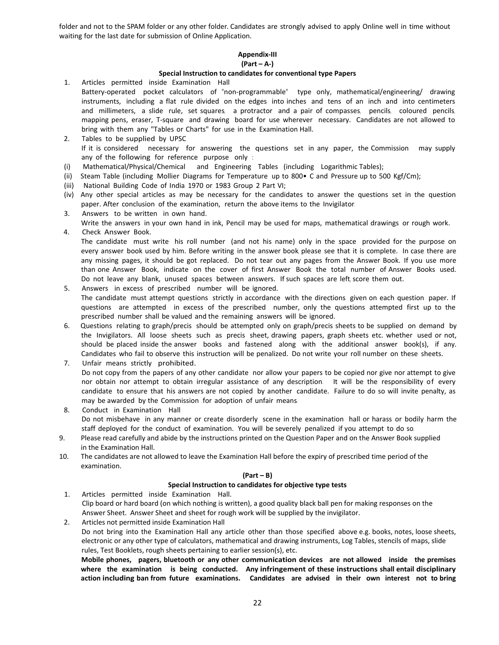folder and not to the SPAM folder or any other folder. Candidates are strongly advised to apply Online well in time without waiting for the last date for submission of Online Application.

## **Appendix‐III**

## **(Part – A‐)**

## **Special Instruction to candidates for conventional type Papers**

- 1. Articles permitted inside Examination Hall Battery-operated pocket calculators of "non-programmable" type only, mathematical/engineering/ drawing instruments, including a flat rule divided on the edges into inches and tens of an inch and into centimeters and millimeters, a slide rule, set squares, a protractor and a pair of compasses, pencils, coloured pencils, mapping pens, eraser, T-square and drawing board for use wherever necessary. Candidates are not allowed to bring with them any "Tables or Charts" for use in the Examination Hall.
- 2. Tables to be supplied by UPSC If it is considered necessary for answering the questions set in any paper, the Commission may supply any of the following for reference purpose only :
- (i) Mathematical/Physical/Chemical and Engineering Tables (including Logarithmic Tables);
- (ii) Steam Table (including Mollier Diagrams for Temperature up to 800• C and Pressure up to 500 Kgf/Cm);
- (iii) National Building Code of India 1970 or 1983 Group 2 Part VI;
- (iv) Any other special articles as may be necessary for the candidates to answer the questions set in the question paper. After conclusion of the examination, return the above items to the Invigilator.
- 3. Answers to be written in own hand.
- Write the answers in your own hand in ink, Pencil may be used for maps, mathematical drawings or rough work.
- 4. Check Answer Book. The candidate must write his roll number (and not his name) only in the space provided for the purpose on every answer book used by him. Before writing in the answer book, please see that it is complete. In case there are any missing pages, it should be got replaced. Do not tear out any pages from the Answer Book. If you use more than one Answer Book, indicate on the cover of first Answer Book the total number of Answer Books used.
- Do not leave any blank, unused spaces between answers. If such spaces are left, score them out. 5. Answers in excess of prescribed number will be ignored. The candidate must attempt questions strictly in accordance with the directions given on each question paper. If questions are attempted in excess of the prescribed number, only the questions attempted first up to the prescribed number shall be valued and the remaining answers will be ignored.
- 6. Questions relating to graph/precis should be attempted only on graph/precis sheets to be supplied on demand by the Invigilators. All loose sheets such as precis sheet, drawing papers, graph sheets etc. whether used or not, should be placed inside the answer books and fastened along with the additional answer book(s), if any. Candidates who fail to observe this instruction will be penalized. Do not write your roll number on these sheets.
- 7. Unfair means strictly prohibited. Do not copy from the papers of any other candidate nor allow your papers to be copied nor give nor attempt to give nor obtain nor attempt to obtain irregular assistance of any description. It will be the responsibility of every candidate to ensure that his answers are not copied by another candidate. Failure to do so will invite penalty, as may be awarded by the Commission for adoption of unfair means.
- 8. Conduct in Examination Hall Do not misbehave in any manner or create disorderly scene in the examination hall or harass or bodily harm the staff deployed for the conduct of examination. You will be severely penalized if you attempt to do so.
- 9. Please read carefully and abide by the instructions printed on the Question Paper and on the Answer Book supplied in the Examination Hall.
- 10. The candidates are not allowed to leave the Examination Hall before the expiry of prescribed time period of the examination.

## **(Part – B)**

## **Special Instruction to candidates for objective type tests**

1. Articles permitted inside Examination Hall.  Clip board or hard board (on which nothing is written), a good quality black ball pen for making responses on the Answer Sheet. Answer Sheet and sheet for rough work will be supplied by the invigilator.

2. Articles not permitted inside Examination Hall Do not bring into the Examination Hall any article other than those specified above e.g. books, notes, loose sheets, electronic or any other type of calculators, mathematical and drawing instruments, Log Tables, stencils of maps, slide rules, Test Booklets, rough sheets pertaining to earlier session(s), etc.

Mobile phones, pagers, bluetooth or any other communication devices are not allowed inside the premises where the examination is being conducted. Any infringement of these instructions shall entail disciplinary action including ban from future examinations. Candidates are advised in their own interest not to bring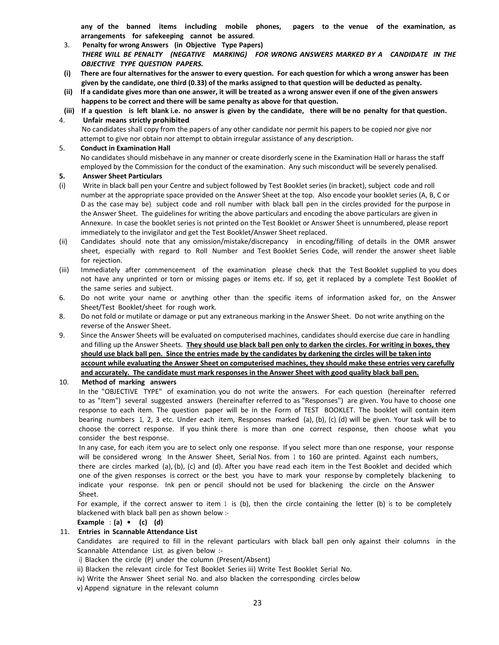any of the banned items including mobile phones, pagers to the venue of the examination, as **arrangements for safekeeping cannot be assured**.

- 3. **Penalty for wrong Answers (in Objective Type Papers)** THERE WILL BE PENALTY (NEGATIVE MARKING) FOR WRONG ANSWERS MARKED BY A CANDIDATE IN THE *OBJECTIVE TYPE QUESTION PAPERS.*
- (i) There are four alternatives for the answer to every question. For each question for which a wrong answer has been given by the candidate, one third (0.33) of the marks assigned to that question will be deducted as penalty.
- (ii) If a candidate gives more than one answer, it will be treated as a wrong answer even if one of the given answers **happens to be correct and there will be same penalty as above for that question.**
- (iii) If a question is left blank i.e. no answer is given by the candidate, there will be no penalty for that question.

## 4. **Unfair means strictly prohibited**

 No candidates shall copy from the papers of any other candidate nor permit his papers to be copied nor give nor attempt to give nor obtain nor attempt to obtain irregular assistance of any description.

## 5. **Conduct in Examination Hall**

No candidates should misbehave in any manner or create disorderly scene in the Examination Hall or harass the staff employed by the Commission for the conduct of the examination. Any such misconduct will be severely penalised.

## **5. Answer Sheet Particulars**

- (i) Write in black ball pen your Centre and subject followed by Test Booklet series (in bracket), subject code and roll number at the appropriate space provided on the Answer Sheet at the top. Also encode your booklet series (A, B, C or D as the case may be), subject code and roll number with black ball pen in the circles provided for the purpose in the Answer Sheet. The guidelines for writing the above particulars and encoding the above particulars are given in Annexure. In case the booklet series is not printed on the Test Booklet or Answer Sheet is unnumbered, please report immediately to the invigilator and get the Test Booklet/Answer Sheet replaced.
- (ii) Candidates should note that any omission/mistake/discrepancy in encoding/filling of details in the OMR answer sheet, especially with regard to Roll Number and Test Booklet Series Code, will render the answer sheet liable for rejection.
- (iii) Immediately after commencement of the examination please check that the Test Booklet supplied to you does not have any unprinted or torn or missing pages or items etc. If so, get it replaced by a complete Test Booklet of the same series and subject.
- 6. Do not write your name or anything other than the specific items of information asked for, on the Answer Sheet/Test Booklet/sheet for rough work.
- 8. Do not fold or mutilate or damage or put any extraneous marking in the Answer Sheet. Do not write anything on the reverse of the Answer Sheet.
- 9. Since the Answer Sheets will be evaluated on computerised machines, candidates should exercise due care in handling and filling up the Answer Sheets. They should use black ball pen only to darken the circles. For writing in boxes, they should use black ball pen. Since the entries made by the candidates by darkening the circles will be taken into account while evaluating the Answer Sheet on computerised machines, they should make these entries very carefully and accurately. The candidate must mark responses in the Answer Sheet with good quality black ball pen.

10. **Method of marking answers**

In the "OBJECTIVE TYPE" of examination, you do not write the answers. For each question (hereinafter referred to as "Item") several suggested answers (hereinafter referred to as "Responses") are given. You have to choose one response to each item. The question paper will be in the Form of TEST BOOKLET. The booklet will contain item bearing numbers 1, 2, 3 etc. Under each item, Responses marked (a), (b),  $(c)$ , (d) will be given. Your task will be to choose the correct response. If you think there is more than one correct response, then choose what you consider the best response.

In any case, for each item you are to select only one response. If you select more than one response, your response will be considered wrong. In the Answer Sheet, Serial Nos. from 1 to 160 are printed. Against each numbers, there are circles marked (a), (b), (c) and (d). After you have read each item in the Test Booklet and decided which one of the given responses is correct or the best, you have to mark your response by completely blackening to indicate your response. Ink pen or pencil should not be used for blackening the circle on the Answer Sheet.

For example, if the correct answer to item 1 is (b), then the circle containing the letter (b) is to be completely blackened with black ball pen as shown below :‐

**Example : (a) • (c) (d)**

## 11. **Entries in Scannable Attendance List**

Candidates are required to fill in the relevant particulars with black ball pen only against their columns in the Scannable Attendance List, as given below :-

i) Blacken the circle (P) under the column (Present/Absent)

- ii) Blacken the relevant circle for Test Booklet Series iii) Write Test Booklet Serial No.
- iv) Write the Answer Sheet serial No. and also blacken the corresponding circles below
- v) Append signature in the relevant column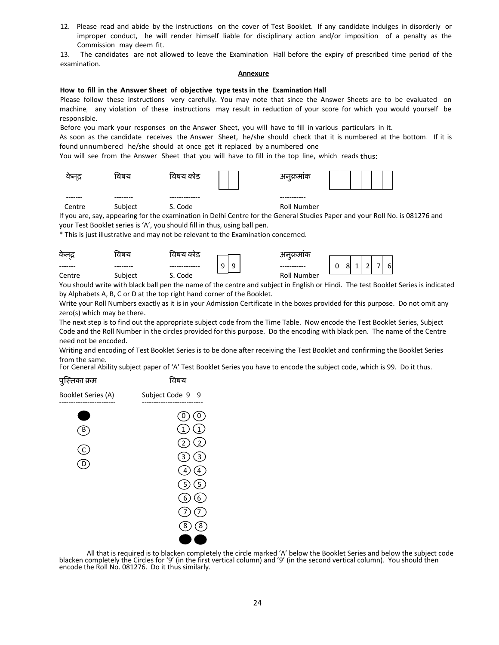12. Please read and abide by the instructions on the cover of Test Booklet. If any candidate indulges in disorderly or improper conduct, he will render himself liable for disciplinary action and/or imposition of a penalty as the Commission may deem fit.

13. The candidates are not allowed to leave the Examination Hall before the expiry of prescribed time period of the examination.

### **Annexure**

## **How to fill in the Answer Sheet of objective type tests in the Examination Hall**

Please follow these instructions very carefully. You may note that since the Answer Sheets are to be evaluated on machine, any violation of these instructions may result in reduction of your score for which you would yourself be responsible.

Before you mark your responses on the Answer Sheet, you will have to fill in various particulars in it.

As soon as the candidate receives the Answer Sheet, he/she should check that it is numbered at the bottom. If it is found unnumbered he/she should at once get it replaced by a numbered one.

You will see from the Answer Sheet that you will have to fill in the top line, which reads thus:

| कनद्र  | विषय    | विषय कोड | $\bullet$<br>अनुक्रमाक |  |
|--------|---------|----------|------------------------|--|
|        | --      |          |                        |  |
| Centre | Subject | S. Code  | Roll Number            |  |

If you are, say, appearing for the examination in Delhi Centre for the General Studies Paper and your Roll No. is 081276 and your Test Booklet series is 'A', you should fill in thus, using ball pen.

\* This is just illustrative and may not be relevant to the Examination concerned.

| केनद्र | प्तषय   | विषय काड |   |        | भवक्रमाक    |        |           |   |   |                     |
|--------|---------|----------|---|--------|-------------|--------|-----------|---|---|---------------------|
|        |         |          | 9 | a<br>ے |             | ⌒<br>U | 0I.<br>יס | - | - | $\overline{ }$<br>h |
| Centre | Subject | Code     |   |        | Roll Number |        |           |   |   |                     |

You should write with black ball pen the name of the centre and subject in English or Hindi. The test Booklet Series is indicated by Alphabets A, B, C or D at the top right hand corner of the Booklet.

Write your Roll Numbers exactly as it is in your Admission Certificate in the boxes provided for this purpose. Do not omit any zero(s) which may be there.

The next step is to find out the appropriate subject code from the Time Table. Now encode the Test Booklet Series, Subject Code and the Roll Number in the circles provided for this purpose. Do the encoding with black pen. The name of the Centre need not be encoded.

Writing and encoding of Test Booklet Series is to be done after receiving the Test Booklet and confirming the Booklet Series from the same.

For General Ability subject paper of 'A' Test Booklet Series you have to encode the subject code, which is 99. Do it thus.



All that is required is to blacken completely the circle marked 'A' below the Booklet Series and below the subject code blacken completely the Circles for '9' (in the first vertical column) and '9' (in the second vertical column). You should then encode the Roll No. 081276. Do it thus similarly.